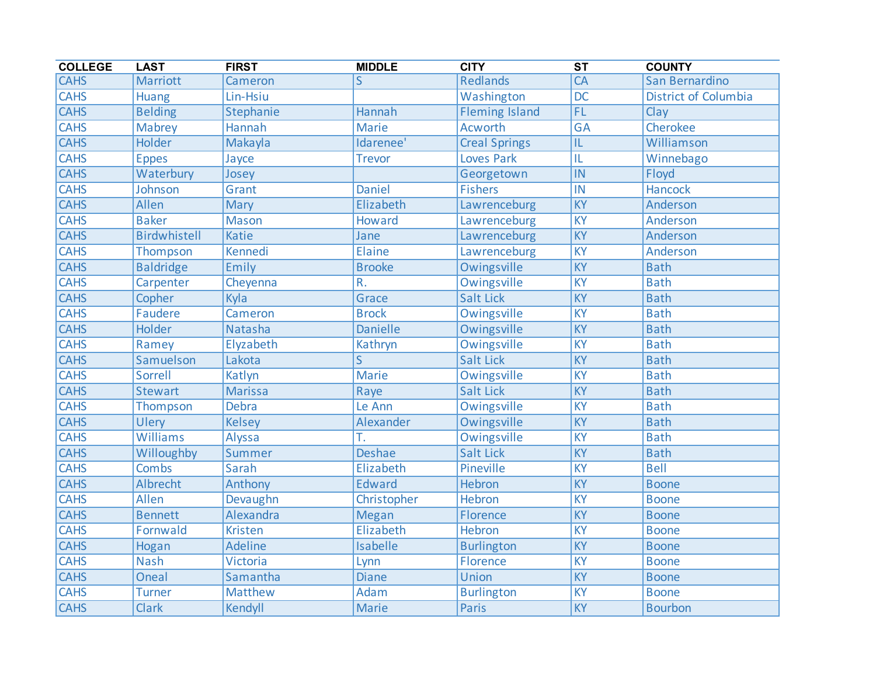| <b>COLLEGE</b> | <b>LAST</b>      | <b>FIRST</b>    | <b>MIDDLE</b>   | <b>CITY</b>           | $\overline{\text{ST}}$ | <b>COUNTY</b>               |
|----------------|------------------|-----------------|-----------------|-----------------------|------------------------|-----------------------------|
| <b>CAHS</b>    | Marriott         | Cameron         | S               | Redlands              | $\overline{CA}$        | San Bernardino              |
| <b>CAHS</b>    | <b>Huang</b>     | Lin-Hsiu        |                 | Washington            | $\overline{DC}$        | <b>District of Columbia</b> |
| <b>CAHS</b>    | <b>Belding</b>   | Stephanie       | Hannah          | <b>Fleming Island</b> | FL                     | Clay                        |
| <b>CAHS</b>    | <b>Mabrey</b>    | Hannah          | <b>Marie</b>    | <b>Acworth</b>        | <b>GA</b>              | Cherokee                    |
| <b>CAHS</b>    | Holder           | Makayla         | Idarenee'       | <b>Creal Springs</b>  | IL                     | Williamson                  |
| <b>CAHS</b>    | <b>Eppes</b>     | Jayce           | <b>Trevor</b>   | <b>Loves Park</b>     | IL                     | Winnebago                   |
| <b>CAHS</b>    | Waterbury        | Josey           |                 | Georgetown            | IN                     | Floyd                       |
| <b>CAHS</b>    | Johnson          | Grant           | <b>Daniel</b>   | <b>Fishers</b>        | IN                     | <b>Hancock</b>              |
| <b>CAHS</b>    | Allen            | Mary            | Elizabeth       | Lawrenceburg          | <b>KY</b>              | Anderson                    |
| <b>CAHS</b>    | <b>Baker</b>     | Mason           | Howard          | Lawrenceburg          | <b>KY</b>              | Anderson                    |
| <b>CAHS</b>    | Birdwhistell     | <b>Katie</b>    | Jane            | Lawrenceburg          | <b>KY</b>              | Anderson                    |
| <b>CAHS</b>    | Thompson         | Kennedi         | Elaine          | Lawrenceburg          | KY                     | Anderson                    |
| <b>CAHS</b>    | <b>Baldridge</b> | Emily           | <b>Brooke</b>   | Owingsville           | $\overline{KY}$        | <b>Bath</b>                 |
| <b>CAHS</b>    | Carpenter        | Cheyenna        | R.              | Owingsville           | KY                     | <b>Bath</b>                 |
| <b>CAHS</b>    | Copher           | Kyla            | Grace           | Salt Lick             | KY                     | <b>Bath</b>                 |
| <b>CAHS</b>    | Faudere          | Cameron         | <b>Brock</b>    | Owingsville           | <b>KY</b>              | <b>Bath</b>                 |
| <b>CAHS</b>    | Holder           | <b>Natasha</b>  | <b>Danielle</b> | Owingsville           | <b>KY</b>              | <b>Bath</b>                 |
| <b>CAHS</b>    | Ramey            | Elyzabeth       | Kathryn         | Owingsville           | <b>KY</b>              | <b>Bath</b>                 |
| <b>CAHS</b>    | Samuelson        | Lakota          | S               | <b>Salt Lick</b>      | <b>KY</b>              | <b>Bath</b>                 |
| <b>CAHS</b>    | Sorrell          | Katlyn          | Marie           | Owingsville           | $\overline{KY}$        | <b>Bath</b>                 |
| <b>CAHS</b>    | <b>Stewart</b>   | <b>Marissa</b>  | Raye            | <b>Salt Lick</b>      | <b>KY</b>              | <b>Bath</b>                 |
| <b>CAHS</b>    | Thompson         | Debra           | Le Ann          | Owingsville           | $\overline{KY}$        | <b>Bath</b>                 |
| <b>CAHS</b>    | Ulery            | <b>Kelsey</b>   | Alexander       | Owingsville           | <b>KY</b>              | <b>Bath</b>                 |
| <b>CAHS</b>    | Williams         | Alyssa          | Ť.              | Owingsville           | KY                     | <b>Bath</b>                 |
| <b>CAHS</b>    | Willoughby       | Summer          | <b>Deshae</b>   | Salt Lick             | $\overline{KY}$        | <b>Bath</b>                 |
| <b>CAHS</b>    | Combs            | Sarah           | Elizabeth       | Pineville             | KY                     | <b>Bell</b>                 |
| <b>CAHS</b>    | Albrecht         | Anthony         | <b>Edward</b>   | <b>Hebron</b>         | <b>KY</b>              | <b>Boone</b>                |
| <b>CAHS</b>    | Allen            | Devaughn        | Christopher     | Hebron                | <b>KY</b>              | <b>Boone</b>                |
| <b>CAHS</b>    | <b>Bennett</b>   | Alexandra       | <b>Megan</b>    | Florence              | <b>KY</b>              | <b>Boone</b>                |
| <b>CAHS</b>    | Fornwald         | <b>Kristen</b>  | Elizabeth       | Hebron                | <b>KY</b>              | <b>Boone</b>                |
| <b>CAHS</b>    | Hogan            | <b>Adeline</b>  | <b>Isabelle</b> | <b>Burlington</b>     | <b>KY</b>              | <b>Boone</b>                |
| <b>CAHS</b>    | <b>Nash</b>      | <b>Victoria</b> | Lynn            | Florence              | <b>KY</b>              | <b>Boone</b>                |
| <b>CAHS</b>    | Oneal            | Samantha        | <b>Diane</b>    | Union                 | <b>KY</b>              | <b>Boone</b>                |
| <b>CAHS</b>    | <b>Turner</b>    | Matthew         | Adam            | <b>Burlington</b>     | KY                     | <b>Boone</b>                |
| <b>CAHS</b>    | <b>Clark</b>     | Kendyll         | Marie           | <b>Paris</b>          | KY                     | <b>Bourbon</b>              |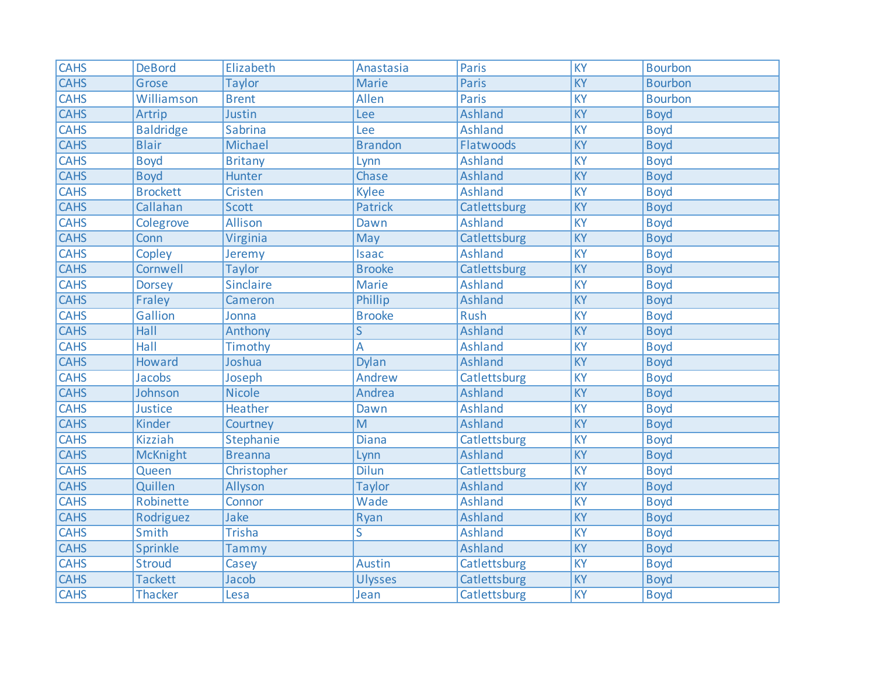| <b>CAHS</b> | <b>DeBord</b>    | Elizabeth      | Anastasia      | <b>Paris</b>   | <b>KY</b>       | <b>Bourbon</b> |
|-------------|------------------|----------------|----------------|----------------|-----------------|----------------|
| <b>CAHS</b> | Grose            | <b>Taylor</b>  | <b>Marie</b>   | Paris          | <b>KY</b>       | <b>Bourbon</b> |
| <b>CAHS</b> | Williamson       | <b>Brent</b>   | Allen          | Paris          | KY              | <b>Bourbon</b> |
| <b>CAHS</b> | Artrip           | Justin         | Lee            | <b>Ashland</b> | KY              | <b>Boyd</b>    |
| <b>CAHS</b> | <b>Baldridge</b> | Sabrina        | Lee            | <b>Ashland</b> | KY              | <b>Boyd</b>    |
| <b>CAHS</b> | <b>Blair</b>     | Michael        | <b>Brandon</b> | Flatwoods      | KY              | <b>Boyd</b>    |
| <b>CAHS</b> | <b>Boyd</b>      | <b>Britany</b> | Lynn           | <b>Ashland</b> | <b>KY</b>       | <b>Boyd</b>    |
| <b>CAHS</b> | <b>Boyd</b>      | Hunter         | Chase          | <b>Ashland</b> | KY              | <b>Boyd</b>    |
| <b>CAHS</b> | <b>Brockett</b>  | Cristen        | <b>Kylee</b>   | <b>Ashland</b> | <b>KY</b>       | <b>Boyd</b>    |
| <b>CAHS</b> | Callahan         | <b>Scott</b>   | <b>Patrick</b> | Catlettsburg   | KY              | <b>Boyd</b>    |
| <b>CAHS</b> | Colegrove        | Allison        | Dawn           | <b>Ashland</b> | <b>KY</b>       | <b>Boyd</b>    |
| <b>CAHS</b> | Conn             | Virginia       | May            | Catlettsburg   | KY              | <b>Boyd</b>    |
| <b>CAHS</b> | Copley           | Jeremy         | <b>Isaac</b>   | <b>Ashland</b> | $\overline{KY}$ | <b>Boyd</b>    |
| <b>CAHS</b> | Cornwell         | <b>Taylor</b>  | <b>Brooke</b>  | Catlettsburg   | KY              | <b>Boyd</b>    |
| <b>CAHS</b> | <b>Dorsey</b>    | Sinclaire      | <b>Marie</b>   | <b>Ashland</b> | $\overline{KY}$ | <b>Boyd</b>    |
| <b>CAHS</b> | Fraley           | Cameron        | Phillip        | <b>Ashland</b> | $\overline{KY}$ | <b>Boyd</b>    |
| <b>CAHS</b> | Gallion          | Jonna          | <b>Brooke</b>  | <b>Rush</b>    | <b>KY</b>       | <b>Boyd</b>    |
| <b>CAHS</b> | Hall             | Anthony        | $\mathsf{S}$   | <b>Ashland</b> | KY              | <b>Boyd</b>    |
| <b>CAHS</b> | <b>Hall</b>      | Timothy        | A              | <b>Ashland</b> | <b>KY</b>       | <b>Boyd</b>    |
| <b>CAHS</b> | Howard           | Joshua         | <b>Dylan</b>   | <b>Ashland</b> | KY              | <b>Boyd</b>    |
| <b>CAHS</b> | Jacobs           | Joseph         | Andrew         | Catlettsburg   | KY              | <b>Boyd</b>    |
| <b>CAHS</b> | Johnson          | <b>Nicole</b>  | Andrea         | <b>Ashland</b> | $\overline{KY}$ | <b>Boyd</b>    |
| <b>CAHS</b> | Justice          | Heather        | Dawn           | <b>Ashland</b> | <b>KY</b>       | <b>Boyd</b>    |
| <b>CAHS</b> | Kinder           | Courtney       | M              | <b>Ashland</b> | KY              | <b>Boyd</b>    |
| <b>CAHS</b> | <b>Kizziah</b>   | Stephanie      | <b>Diana</b>   | Catlettsburg   | KY              | <b>Boyd</b>    |
| <b>CAHS</b> | <b>McKnight</b>  | <b>Breanna</b> | Lynn           | <b>Ashland</b> | KY              | <b>Boyd</b>    |
| <b>CAHS</b> | Queen            | Christopher    | <b>Dilun</b>   | Catlettsburg   | <b>KY</b>       | <b>Boyd</b>    |
| <b>CAHS</b> | Quillen          | Allyson        | <b>Taylor</b>  | <b>Ashland</b> | $\overline{KY}$ | <b>Boyd</b>    |
| <b>CAHS</b> | Robinette        | Connor         | Wade           | <b>Ashland</b> | <b>KY</b>       | <b>Boyd</b>    |
| <b>CAHS</b> | Rodriguez        | Jake           | Ryan           | <b>Ashland</b> | KY              | <b>Boyd</b>    |
| <b>CAHS</b> | Smith            | <b>Trisha</b>  | S              | <b>Ashland</b> | $\overline{KY}$ | <b>Boyd</b>    |
| <b>CAHS</b> | Sprinkle         | Tammy          |                | Ashland        | KY              | <b>Boyd</b>    |
| <b>CAHS</b> | <b>Stroud</b>    | Casey          | <b>Austin</b>  | Catlettsburg   | KY              | <b>Boyd</b>    |
| <b>CAHS</b> | <b>Tackett</b>   | Jacob          | <b>Ulysses</b> | Catlettsburg   | KY              | <b>Boyd</b>    |
| <b>CAHS</b> | <b>Thacker</b>   | Lesa           | Jean           | Catlettsburg   | KY              | <b>Boyd</b>    |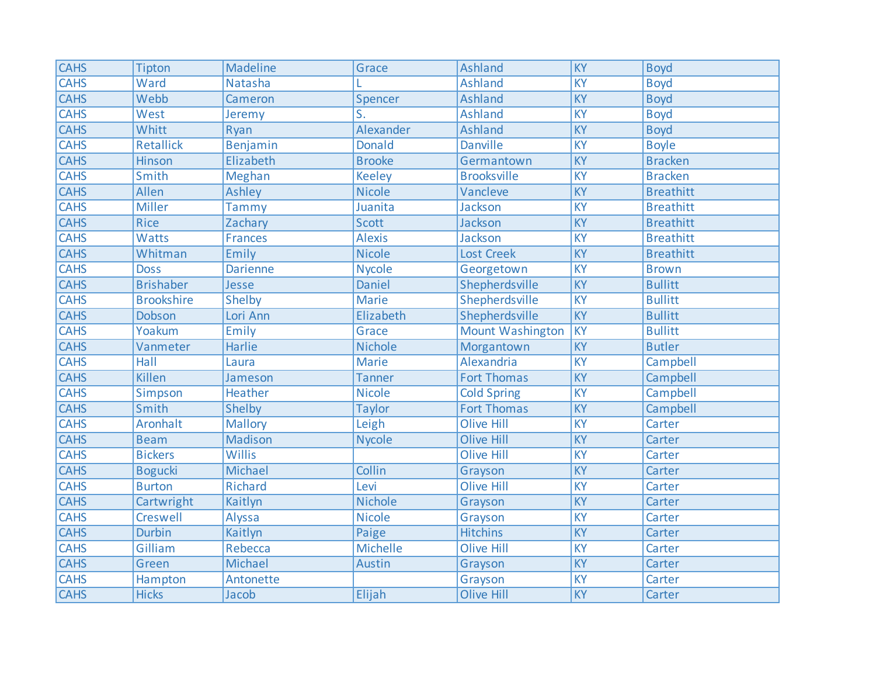| <b>CAHS</b> | Tipton            | Madeline        | Grace                     | <b>Ashland</b>          | $\overline{KY}$ | <b>Boyd</b>      |
|-------------|-------------------|-----------------|---------------------------|-------------------------|-----------------|------------------|
| <b>CAHS</b> | Ward              | Natasha         |                           | <b>Ashland</b>          | KY              | <b>Boyd</b>      |
| <b>CAHS</b> | Webb              | Cameron         | Spencer                   | <b>Ashland</b>          | <b>KY</b>       | <b>Boyd</b>      |
| <b>CAHS</b> | West              | Jeremy          | $\overline{\mathsf{S}}$ . | <b>Ashland</b>          | <b>KY</b>       | <b>Boyd</b>      |
| <b>CAHS</b> | Whitt             | Ryan            | Alexander                 | <b>Ashland</b>          | <b>KY</b>       | <b>Boyd</b>      |
| <b>CAHS</b> | <b>Retallick</b>  | Benjamin        | <b>Donald</b>             | <b>Danville</b>         | KY              | <b>Boyle</b>     |
| <b>CAHS</b> | Hinson            | Elizabeth       | <b>Brooke</b>             | Germantown              | <b>KY</b>       | <b>Bracken</b>   |
| <b>CAHS</b> | Smith             | Meghan          | <b>Keeley</b>             | <b>Brooksville</b>      | KY              | <b>Bracken</b>   |
| <b>CAHS</b> | Allen             | Ashley          | <b>Nicole</b>             | Vancleve                | KY              | <b>Breathitt</b> |
| <b>CAHS</b> | <b>Miller</b>     | Tammy           | Juanita                   | Jackson                 | $\overline{KY}$ | <b>Breathitt</b> |
| <b>CAHS</b> | <b>Rice</b>       | Zachary         | Scott                     | Jackson                 | <b>KY</b>       | <b>Breathitt</b> |
| <b>CAHS</b> | Watts             | <b>Frances</b>  | <b>Alexis</b>             | Jackson                 | <b>KY</b>       | <b>Breathitt</b> |
| <b>CAHS</b> | Whitman           | Emily           | <b>Nicole</b>             | <b>Lost Creek</b>       | $\overline{KY}$ | <b>Breathitt</b> |
| <b>CAHS</b> | <b>Doss</b>       | <b>Darienne</b> | <b>Nycole</b>             | Georgetown              | $\overline{KY}$ | <b>Brown</b>     |
| <b>CAHS</b> | <b>Brishaber</b>  | Jesse           | <b>Daniel</b>             | Shepherdsville          | $\overline{KY}$ | <b>Bullitt</b>   |
| <b>CAHS</b> | <b>Brookshire</b> | Shelby          | <b>Marie</b>              | Shepherdsville          | $\overline{KY}$ | <b>Bullitt</b>   |
| <b>CAHS</b> | Dobson            | Lori Ann        | Elizabeth                 | Shepherdsville          | KY              | <b>Bullitt</b>   |
| <b>CAHS</b> | Yoakum            | Emily           | Grace                     | <b>Mount Washington</b> | <b>KY</b>       | <b>Bullitt</b>   |
| <b>CAHS</b> | Vanmeter          | Harlie          | <b>Nichole</b>            | Morgantown              | KY              | <b>Butler</b>    |
| <b>CAHS</b> | Hall              | Laura           | Marie                     | Alexandria              | KY              | Campbell         |
| <b>CAHS</b> | Killen            | Jameson         | <b>Tanner</b>             | <b>Fort Thomas</b>      | KY              | Campbell         |
| <b>CAHS</b> | Simpson           | Heather         | <b>Nicole</b>             | <b>Cold Spring</b>      | $\overline{KY}$ | Campbell         |
| <b>CAHS</b> | Smith             | Shelby          | <b>Taylor</b>             | <b>Fort Thomas</b>      | KY              | Campbell         |
| <b>CAHS</b> | Aronhalt          | <b>Mallory</b>  | Leigh                     | <b>Olive Hill</b>       | KY              | Carter           |
| <b>CAHS</b> | <b>Beam</b>       | Madison         | <b>Nycole</b>             | <b>Olive Hill</b>       | $\overline{KY}$ | Carter           |
| <b>CAHS</b> | <b>Bickers</b>    | Willis          |                           | <b>Olive Hill</b>       | <b>KY</b>       | Carter           |
| <b>CAHS</b> | <b>Bogucki</b>    | Michael         | Collin                    | Grayson                 | KY              | Carter           |
| <b>CAHS</b> | <b>Burton</b>     | Richard         | Levi                      | <b>Olive Hill</b>       | $\overline{KY}$ | Carter           |
| <b>CAHS</b> | Cartwright        | Kaitlyn         | <b>Nichole</b>            | Grayson                 | $\overline{KY}$ | Carter           |
| <b>CAHS</b> | Creswell          | Alyssa          | <b>Nicole</b>             | Grayson                 | $\overline{KY}$ | Carter           |
| <b>CAHS</b> | <b>Durbin</b>     | Kaitlyn         | Paige                     | <b>Hitchins</b>         | KY              | Carter           |
| <b>CAHS</b> | Gilliam           | Rebecca         | Michelle                  | <b>Olive Hill</b>       | <b>KY</b>       | Carter           |
| <b>CAHS</b> | Green             | Michael         | Austin                    | Grayson                 | KY              | Carter           |
| <b>CAHS</b> | Hampton           | Antonette       |                           | Grayson                 | KY              | Carter           |
| <b>CAHS</b> | <b>Hicks</b>      | Jacob           | Elijah                    | <b>Olive Hill</b>       | KY              | Carter           |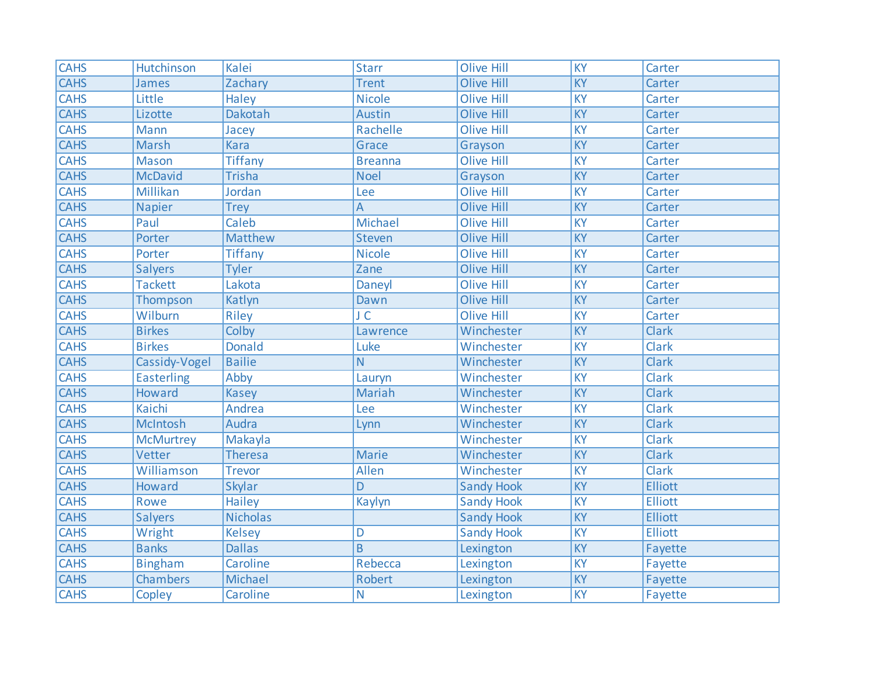| <b>CAHS</b> | Hutchinson        | Kalei           | <b>Starr</b>    | <b>Olive Hill</b> | $\overline{KY}$ | Carter         |
|-------------|-------------------|-----------------|-----------------|-------------------|-----------------|----------------|
| <b>CAHS</b> | James             | Zachary         | <b>Trent</b>    | <b>Olive Hill</b> | KY              | Carter         |
| <b>CAHS</b> | Little            | Haley           | <b>Nicole</b>   | <b>Olive Hill</b> | <b>KY</b>       | Carter         |
| <b>CAHS</b> | Lizotte           | Dakotah         | Austin          | <b>Olive Hill</b> | <b>KY</b>       | Carter         |
| <b>CAHS</b> | Mann              | Jacey           | Rachelle        | <b>Olive Hill</b> | KY              | Carter         |
| <b>CAHS</b> | Marsh             | <b>Kara</b>     | Grace           | Grayson           | KY              | Carter         |
| <b>CAHS</b> | <b>Mason</b>      | <b>Tiffany</b>  | <b>Breanna</b>  | <b>Olive Hill</b> | <b>KY</b>       | Carter         |
| <b>CAHS</b> | <b>McDavid</b>    | <b>Trisha</b>   | <b>Noel</b>     | Grayson           | KY              | Carter         |
| <b>CAHS</b> | Millikan          | Jordan          | Lee             | <b>Olive Hill</b> | <b>KY</b>       | Carter         |
| <b>CAHS</b> | <b>Napier</b>     | <b>Trey</b>     | A               | <b>Olive Hill</b> | KY              | Carter         |
| <b>CAHS</b> | Paul              | Caleb           | Michael         | <b>Olive Hill</b> | <b>KY</b>       | Carter         |
| <b>CAHS</b> | Porter            | Matthew         | <b>Steven</b>   | <b>Olive Hill</b> | <b>KY</b>       | Carter         |
| <b>CAHS</b> | Porter            | <b>Tiffany</b>  | <b>Nicole</b>   | <b>Olive Hill</b> | <b>KY</b>       | Carter         |
| <b>CAHS</b> | <b>Salyers</b>    | <b>Tyler</b>    | Zane            | <b>Olive Hill</b> | <b>KY</b>       | Carter         |
| <b>CAHS</b> | <b>Tackett</b>    | Lakota          | Daneyl          | <b>Olive Hill</b> | <b>KY</b>       | Carter         |
| <b>CAHS</b> | Thompson          | Katlyn          | Dawn            | <b>Olive Hill</b> | $\overline{KY}$ | Carter         |
| <b>CAHS</b> | Wilburn           | Riley           | $J\overline{C}$ | <b>Olive Hill</b> | KY              | Carter         |
| <b>CAHS</b> | <b>Birkes</b>     | Colby           | Lawrence        | Winchester        | KY              | <b>Clark</b>   |
| <b>CAHS</b> | <b>Birkes</b>     | <b>Donald</b>   | Luke            | Winchester        | KY              | Clark          |
| <b>CAHS</b> | Cassidy-Vogel     | <b>Bailie</b>   | N               | Winchester        | KY              | Clark          |
| CAHS        | <b>Easterling</b> | Abby            | Lauryn          | Winchester        | <b>KY</b>       | Clark          |
| <b>CAHS</b> | Howard            | <b>Kasey</b>    | <b>Mariah</b>   | Winchester        | KY              | <b>Clark</b>   |
| <b>CAHS</b> | Kaichi            | Andrea          | Lee             | Winchester        | <b>KY</b>       | Clark          |
| <b>CAHS</b> | McIntosh          | Audra           | Lynn            | Winchester        | KY              | Clark          |
| <b>CAHS</b> | <b>McMurtrey</b>  | Makayla         |                 | Winchester        | KY              | <b>Clark</b>   |
| <b>CAHS</b> | Vetter            | <b>Theresa</b>  | <b>Marie</b>    | Winchester        | KY              | Clark          |
| <b>CAHS</b> | Williamson        | <b>Trevor</b>   | Allen           | Winchester        | <b>KY</b>       | Clark          |
| <b>CAHS</b> | <b>Howard</b>     | <b>Skylar</b>   | D               | <b>Sandy Hook</b> | $\overline{KY}$ | <b>Elliott</b> |
| <b>CAHS</b> | Rowe              | <b>Hailey</b>   | Kaylyn          | <b>Sandy Hook</b> | <b>KY</b>       | <b>Elliott</b> |
| <b>CAHS</b> | <b>Salyers</b>    | <b>Nicholas</b> |                 | <b>Sandy Hook</b> | KY              | <b>Elliott</b> |
| <b>CAHS</b> | Wright            | <b>Kelsey</b>   | D               | <b>Sandy Hook</b> | KY              | <b>Elliott</b> |
| <b>CAHS</b> | <b>Banks</b>      | <b>Dallas</b>   | B               | Lexington         | KY              | Fayette        |
| <b>CAHS</b> | <b>Bingham</b>    | Caroline        | Rebecca         | Lexington         | KY              | Fayette        |
| <b>CAHS</b> | <b>Chambers</b>   | Michael         | Robert          | Lexington         | KY              | Fayette        |
| <b>CAHS</b> | Copley            | Caroline        | $\overline{N}$  | Lexington         | <b>KY</b>       | Fayette        |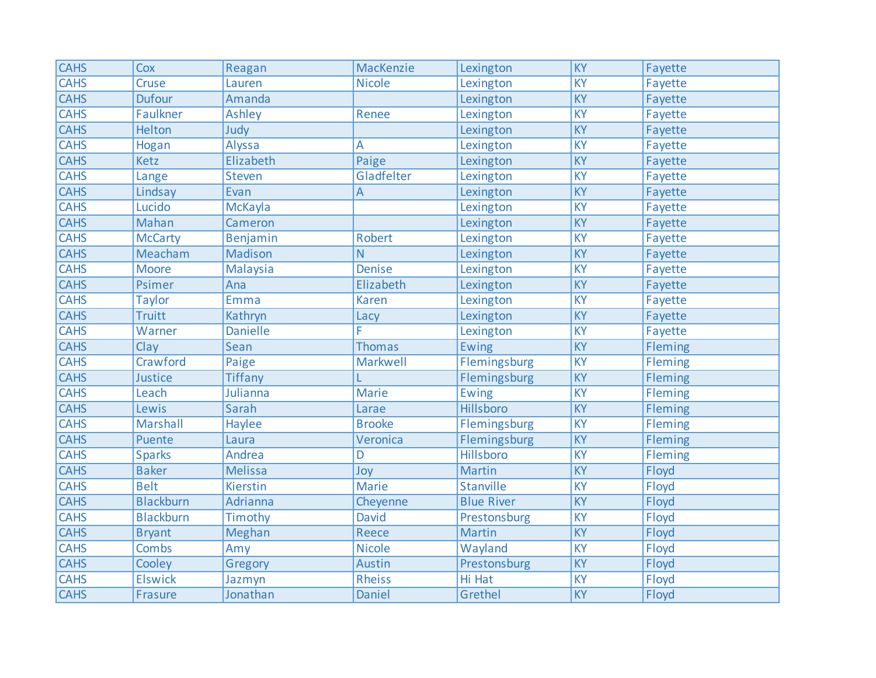| <b>CAHS</b> | Cox              | Reagan          | MacKenzie     | Lexington         | $\overline{KY}$ | Fayette        |
|-------------|------------------|-----------------|---------------|-------------------|-----------------|----------------|
| <b>CAHS</b> | Cruse            | Lauren          | <b>Nicole</b> | Lexington         | KY              | Fayette        |
| <b>CAHS</b> | <b>Dufour</b>    | Amanda          |               | Lexington         | <b>KY</b>       | Fayette        |
| <b>CAHS</b> | Faulkner         | Ashley          | Renee         | Lexington         | <b>KY</b>       | Fayette        |
| <b>CAHS</b> | Helton           | Judy            |               | Lexington         | KY              | Fayette        |
| <b>CAHS</b> | Hogan            | Alyssa          | А             | Lexington         | KY              | Fayette        |
| <b>CAHS</b> | Ketz             | Elizabeth       | Paige         | Lexington         | KY              | Fayette        |
| <b>CAHS</b> | Lange            | <b>Steven</b>   | Gladfelter    | Lexington         | KY              | Fayette        |
| <b>CAHS</b> | Lindsay          | Evan            | A             | Lexington         | KY              | Fayette        |
| <b>CAHS</b> | Lucido           | McKayla         |               | Lexington         | KY              | Fayette        |
| <b>CAHS</b> | Mahan            | Cameron         |               | Lexington         | KY              | Fayette        |
| <b>CAHS</b> | <b>McCarty</b>   | Benjamin        | <b>Robert</b> | Lexington         | <b>KY</b>       | Fayette        |
| <b>CAHS</b> | Meacham          | Madison         | N             | Lexington         | KY              | Fayette        |
| <b>CAHS</b> | <b>Moore</b>     | Malaysia        | <b>Denise</b> | Lexington         | KY              | Fayette        |
| <b>CAHS</b> | Psimer           | Ana             | Elizabeth     | Lexington         | KY              | Fayette        |
| <b>CAHS</b> | <b>Taylor</b>    | <b>Emma</b>     | Karen         | Lexington         | $\overline{KY}$ | Fayette        |
| <b>CAHS</b> | <b>Truitt</b>    | Kathryn         | Lacy          | Lexington         | KY              | Fayette        |
| <b>CAHS</b> | Warner           | <b>Danielle</b> | F             | Lexington         | KY              | Fayette        |
| <b>CAHS</b> | Clay             | Sean            | <b>Thomas</b> | <b>Ewing</b>      | <b>KY</b>       | <b>Fleming</b> |
| <b>CAHS</b> | Crawford         | Paige           | Markwell      | Flemingsburg      | KY              | Fleming        |
| <b>CAHS</b> | Justice          | <b>Tiffany</b>  | L             | Flemingsburg      | KY              | <b>Fleming</b> |
| <b>CAHS</b> | Leach            | Julianna        | <b>Marie</b>  | <b>Ewing</b>      | KY              | <b>Fleming</b> |
| <b>CAHS</b> | Lewis            | Sarah           | Larae         | Hillsboro         | KY              | Fleming        |
| <b>CAHS</b> | Marshall         | Haylee          | <b>Brooke</b> | Flemingsburg      | KY              | Fleming        |
| <b>CAHS</b> | Puente           | Laura           | Veronica      | Flemingsburg      | KY              | Fleming        |
| <b>CAHS</b> | <b>Sparks</b>    | Andrea          | D             | Hillsboro         | <b>KY</b>       | Fleming        |
| <b>CAHS</b> | <b>Baker</b>     | <b>Melissa</b>  | Joy           | <b>Martin</b>     | KY              | Floyd          |
| <b>CAHS</b> | <b>Belt</b>      | Kierstin        | <b>Marie</b>  | <b>Stanville</b>  | $\overline{KY}$ | Floyd          |
| <b>CAHS</b> | <b>Blackburn</b> | Adrianna        | Cheyenne      | <b>Blue River</b> | KY              | Floyd          |
| <b>CAHS</b> | <b>Blackburn</b> | Timothy         | <b>David</b>  | Prestonsburg      | KY              | Floyd          |
| <b>CAHS</b> | <b>Bryant</b>    | Meghan          | Reece         | Martin            | KY              | Floyd          |
| <b>CAHS</b> | <b>Combs</b>     | Amy             | <b>Nicole</b> | Wayland           | KY              | Floyd          |
| <b>CAHS</b> | Cooley           | Gregory         | Austin        | Prestonsburg      | KY              | Floyd          |
| <b>CAHS</b> | <b>Elswick</b>   | Jazmyn          | <b>Rheiss</b> | Hi Hat            | KY              | Floyd          |
| <b>CAHS</b> | Frasure          | Jonathan        | Daniel        | Grethel           | KY              | Floyd          |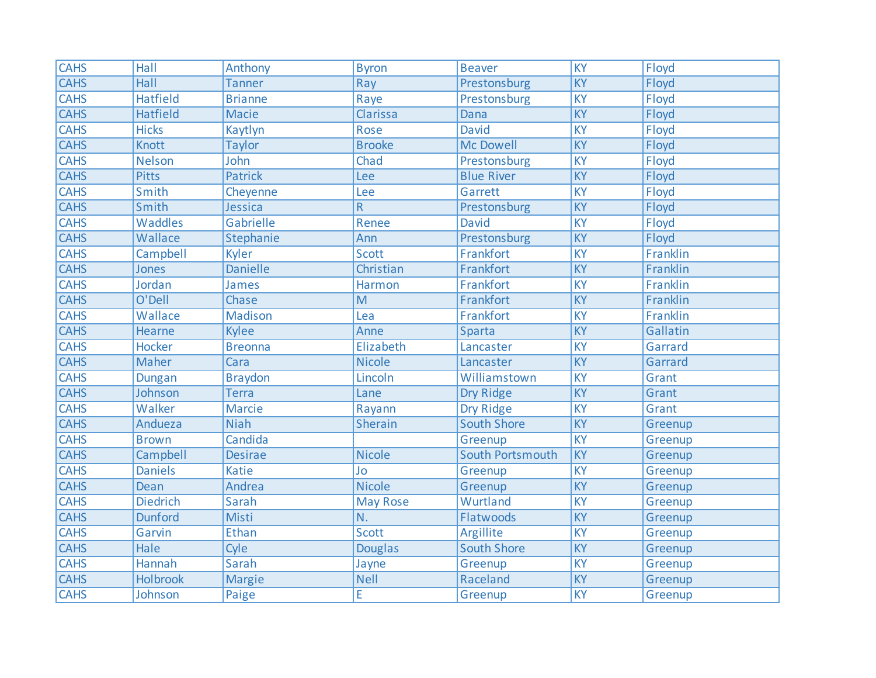| <b>CAHS</b> | Hall            | Anthony         | <b>Byron</b>    | <b>Beaver</b>      | KY              | Floyd    |
|-------------|-----------------|-----------------|-----------------|--------------------|-----------------|----------|
| <b>CAHS</b> | Hall            | <b>Tanner</b>   | Ray             | Prestonsburg       | KY              | Floyd    |
| <b>CAHS</b> | <b>Hatfield</b> | <b>Brianne</b>  | Raye            | Prestonsburg       | KY              | Floyd    |
| <b>CAHS</b> | <b>Hatfield</b> | <b>Macie</b>    | Clarissa        | Dana               | <b>KY</b>       | Floyd    |
| <b>CAHS</b> | <b>Hicks</b>    | Kaytlyn         | Rose            | <b>David</b>       | KY              | Floyd    |
| <b>CAHS</b> | <b>Knott</b>    | <b>Taylor</b>   | <b>Brooke</b>   | <b>Mc Dowell</b>   | $\overline{KY}$ | Floyd    |
| <b>CAHS</b> | <b>Nelson</b>   | John            | Chad            | Prestonsburg       | $\overline{KY}$ | Floyd    |
| <b>CAHS</b> | <b>Pitts</b>    | Patrick         | Lee             | <b>Blue River</b>  | KY              | Floyd    |
| <b>CAHS</b> | Smith           | Cheyenne        | Lee             | Garrett            | <b>KY</b>       | Floyd    |
| <b>CAHS</b> | Smith           | Jessica         | $\mathsf R$     | Prestonsburg       | $\overline{KY}$ | Floyd    |
| <b>CAHS</b> | Waddles         | Gabrielle       | Renee           | <b>David</b>       | KY              | Floyd    |
| <b>CAHS</b> | Wallace         | Stephanie       | Ann             | Prestonsburg       | KY              | Floyd    |
| <b>CAHS</b> | Campbell        | Kyler           | <b>Scott</b>    | Frankfort          | KY              | Franklin |
| <b>CAHS</b> | Jones           | <b>Danielle</b> | Christian       | Frankfort          | KY              | Franklin |
| <b>CAHS</b> | Jordan          | James           | Harmon          | Frankfort          | $\overline{KY}$ | Franklin |
| <b>CAHS</b> | O'Dell          | Chase           | M               | Frankfort          | $\overline{KY}$ | Franklin |
| <b>CAHS</b> | Wallace         | Madison         | Lea             | Frankfort          | KY              | Franklin |
| <b>CAHS</b> | Hearne          | <b>Kylee</b>    | Anne            | Sparta             | KY              | Gallatin |
| <b>CAHS</b> | <b>Hocker</b>   | <b>Breonna</b>  | Elizabeth       | Lancaster          | KY              | Garrard  |
| <b>CAHS</b> | Maher           | Cara            | <b>Nicole</b>   | Lancaster          | KY              | Garrard  |
| <b>CAHS</b> | Dungan          | <b>Braydon</b>  | Lincoln         | Williamstown       | KY              | Grant    |
| <b>CAHS</b> | Johnson         | <b>Terra</b>    | Lane            | Dry Ridge          | $\overline{KY}$ | Grant    |
| <b>CAHS</b> | Walker          | <b>Marcie</b>   | Rayann          | Dry Ridge          | KY              | Grant    |
| <b>CAHS</b> | Andueza         | <b>Niah</b>     | <b>Sherain</b>  | <b>South Shore</b> | KY              | Greenup  |
| <b>CAHS</b> | <b>Brown</b>    | Candida         |                 | Greenup            | $\overline{KY}$ | Greenup  |
| <b>CAHS</b> | Campbell        | <b>Desirae</b>  | <b>Nicole</b>   | South Portsmouth   | $\overline{KY}$ | Greenup  |
| <b>CAHS</b> | <b>Daniels</b>  | <b>Katie</b>    | Jo              | Greenup            | <b>KY</b>       | Greenup  |
| <b>CAHS</b> | Dean            | Andrea          | <b>Nicole</b>   | Greenup            | $\overline{KY}$ | Greenup  |
| <b>CAHS</b> | <b>Diedrich</b> | Sarah           | <b>May Rose</b> | Wurtland           | KY              | Greenup  |
| <b>CAHS</b> | <b>Dunford</b>  | Misti           | N.              | Flatwoods          | KY              | Greenup  |
| <b>CAHS</b> | Garvin          | Ethan           | <b>Scott</b>    | Argillite          | KY              | Greenup  |
| <b>CAHS</b> | Hale            | Cyle            | <b>Douglas</b>  | <b>South Shore</b> | <b>KY</b>       | Greenup  |
| <b>CAHS</b> | Hannah          | Sarah           | Jayne           | Greenup            | KY              | Greenup  |
| <b>CAHS</b> | <b>Holbrook</b> | <b>Margie</b>   | <b>Nell</b>     | Raceland           | $\overline{KY}$ | Greenup  |
| <b>CAHS</b> | Johnson         | Paige           | E               | Greenup            | KY              | Greenup  |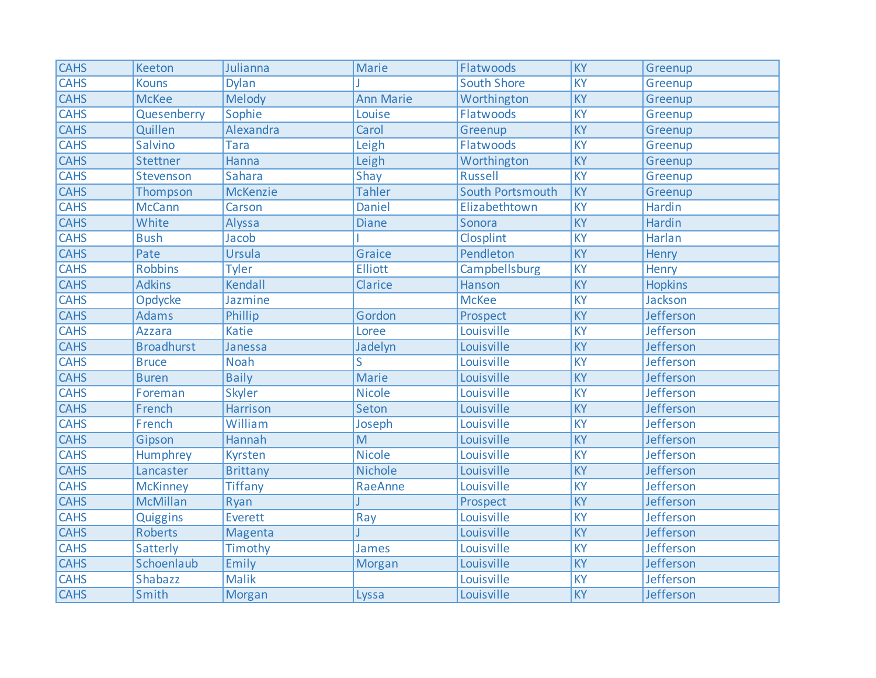| <b>CAHS</b> | Keeton            | Julianna        | <b>Marie</b>     | Flatwoods          | $\overline{KY}$ | Greenup          |
|-------------|-------------------|-----------------|------------------|--------------------|-----------------|------------------|
| <b>CAHS</b> | <b>Kouns</b>      | <b>Dylan</b>    |                  | <b>South Shore</b> | <b>KY</b>       | Greenup          |
| <b>CAHS</b> | <b>McKee</b>      | Melody          | <b>Ann Marie</b> | Worthington        | KY              | Greenup          |
| <b>CAHS</b> | Quesenberry       | Sophie          | Louise           | Flatwoods          | $\overline{KY}$ | Greenup          |
| <b>CAHS</b> | Quillen           | Alexandra       | Carol            | Greenup            | KY              | Greenup          |
| <b>CAHS</b> | Salvino           | <b>Tara</b>     | Leigh            | Flatwoods          | KY              | Greenup          |
| <b>CAHS</b> | <b>Stettner</b>   | Hanna           | Leigh            | Worthington        | $\overline{KY}$ | Greenup          |
| <b>CAHS</b> | Stevenson         | <b>Sahara</b>   | Shay             | <b>Russell</b>     | KY              | Greenup          |
| <b>CAHS</b> | Thompson          | <b>McKenzie</b> | <b>Tahler</b>    | South Portsmouth   | KY              | Greenup          |
| <b>CAHS</b> | <b>McCann</b>     | Carson          | <b>Daniel</b>    | Elizabethtown      | $\overline{KY}$ | Hardin           |
| <b>CAHS</b> | White             | Alyssa          | <b>Diane</b>     | Sonora             | KY              | Hardin           |
| <b>CAHS</b> | <b>Bush</b>       | Jacob           |                  | Closplint          | KY              | Harlan           |
| <b>CAHS</b> | Pate              | Ursula          | <b>Graice</b>    | Pendleton          | $\overline{KY}$ | Henry            |
| <b>CAHS</b> | <b>Robbins</b>    | <b>Tyler</b>    | <b>Elliott</b>   | Campbellsburg      | <b>KY</b>       | Henry            |
| <b>CAHS</b> | <b>Adkins</b>     | Kendall         | Clarice          | Hanson             | KY              | <b>Hopkins</b>   |
| <b>CAHS</b> | Opdycke           | Jazmine         |                  | <b>McKee</b>       | $\overline{KY}$ | Jackson          |
| <b>CAHS</b> | <b>Adams</b>      | Phillip         | Gordon           | Prospect           | KY              | Jefferson        |
| <b>CAHS</b> | <b>Azzara</b>     | <b>Katie</b>    | Loree            | Louisville         | <b>KY</b>       | Jefferson        |
| <b>CAHS</b> | <b>Broadhurst</b> | Janessa         | Jadelyn          | Louisville         | KY              | <b>Jefferson</b> |
| <b>CAHS</b> | <b>Bruce</b>      | <b>Noah</b>     | S                | Louisville         | <b>KY</b>       | Jefferson        |
| <b>CAHS</b> | <b>Buren</b>      | <b>Baily</b>    | <b>Marie</b>     | Louisville         | KY              | Jefferson        |
| <b>CAHS</b> | Foreman           | <b>Skyler</b>   | <b>Nicole</b>    | Louisville         | KY              | <b>Jefferson</b> |
| <b>CAHS</b> | French            | <b>Harrison</b> | Seton            | Louisville         | KY              | Jefferson        |
| <b>CAHS</b> | French            | William         | Joseph           | Louisville         | <b>KY</b>       | <b>Jefferson</b> |
| <b>CAHS</b> | Gipson            | <b>Hannah</b>   | $\overline{M}$   | Louisville         | $\overline{KY}$ | Jefferson        |
| <b>CAHS</b> | Humphrey          | Kyrsten         | <b>Nicole</b>    | Louisville         | KY              | Jefferson        |
| <b>CAHS</b> | Lancaster         | <b>Brittany</b> | <b>Nichole</b>   | Louisville         | $\overline{KY}$ | Jefferson        |
| <b>CAHS</b> | <b>McKinney</b>   | <b>Tiffany</b>  | RaeAnne          | Louisville         | $\overline{KY}$ | Jefferson        |
| <b>CAHS</b> | <b>McMillan</b>   | Ryan            |                  | Prospect           | KY              | Jefferson        |
| CAHS        | Quiggins          | <b>Everett</b>  | Ray              | Louisville         | <b>KY</b>       | Jefferson        |
| <b>CAHS</b> | <b>Roberts</b>    | Magenta         |                  | Louisville         | KY              | Jefferson        |
| <b>CAHS</b> | Satterly          | Timothy         | James            | Louisville         | <b>KY</b>       | Jefferson        |
| <b>CAHS</b> | Schoenlaub        | Emily           | <b>Morgan</b>    | Louisville         | KY              | Jefferson        |
| <b>CAHS</b> | <b>Shabazz</b>    | <b>Malik</b>    |                  | Louisville         | KY              | Jefferson        |
| <b>CAHS</b> | Smith             | <b>Morgan</b>   | Lyssa            | Louisville         | KY              | Jefferson        |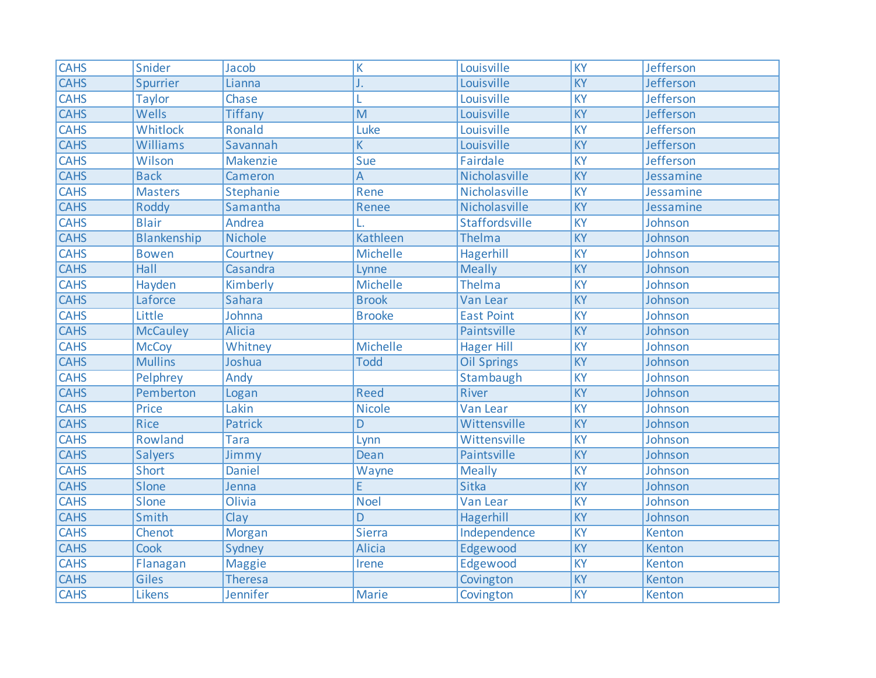| <b>CAHS</b> | Snider          | Jacob          | K               | Louisville         | $\overline{KY}$ | <b>Jefferson</b> |
|-------------|-----------------|----------------|-----------------|--------------------|-----------------|------------------|
| <b>CAHS</b> | Spurrier        | Lianna         | J.              | Louisville         | $\overline{KY}$ | Jefferson        |
| <b>CAHS</b> | <b>Taylor</b>   | Chase          |                 | Louisville         | <b>KY</b>       | <b>Jefferson</b> |
| <b>CAHS</b> | Wells           | <b>Tiffany</b> | $\overline{M}$  | Louisville         | <b>KY</b>       | <b>Jefferson</b> |
| <b>CAHS</b> | Whitlock        | Ronald         | Luke            | Louisville         | <b>KY</b>       | Jefferson        |
| <b>CAHS</b> | Williams        | Savannah       | K               | Louisville         | KY              | Jefferson        |
| <b>CAHS</b> | Wilson          | Makenzie       | Sue             | <b>Fairdale</b>    | <b>KY</b>       | Jefferson        |
| <b>CAHS</b> | <b>Back</b>     | Cameron        | $\overline{A}$  | Nicholasville      | KY              | Jessamine        |
| <b>CAHS</b> | <b>Masters</b>  | Stephanie      | Rene            | Nicholasville      | KY              | Jessamine        |
| <b>CAHS</b> | Roddy           | Samantha       | Renee           | Nicholasville      | KY              | Jessamine        |
| <b>CAHS</b> | <b>Blair</b>    | Andrea         |                 | Staffordsville     | <b>KY</b>       | Johnson          |
| <b>CAHS</b> | Blankenship     | <b>Nichole</b> | <b>Kathleen</b> | Thelma             | <b>KY</b>       | Johnson          |
| <b>CAHS</b> | <b>Bowen</b>    | Courtney       | Michelle        | Hagerhill          | $\overline{KY}$ | Johnson          |
| <b>CAHS</b> | <b>Hall</b>     | Casandra       | Lynne           | <b>Meally</b>      | $\overline{KY}$ | Johnson          |
| <b>CAHS</b> | Hayden          | Kimberly       | <b>Michelle</b> | Thelma             | $\overline{KY}$ | Johnson          |
| <b>CAHS</b> | Laforce         | Sahara         | <b>Brook</b>    | Van Lear           | $\overline{KY}$ | Johnson          |
| <b>CAHS</b> | Little          | Johnna         | <b>Brooke</b>   | <b>East Point</b>  | KY              | Johnson          |
| <b>CAHS</b> | <b>McCauley</b> | <b>Alicia</b>  |                 | Paintsville        | KY              | Johnson          |
| <b>CAHS</b> | <b>McCoy</b>    | Whitney        | Michelle        | <b>Hager Hill</b>  | KY              | Johnson          |
| <b>CAHS</b> | <b>Mullins</b>  | Joshua         | <b>Todd</b>     | <b>Oil Springs</b> | KY              | Johnson          |
| <b>CAHS</b> | Pelphrey        | Andy           |                 | Stambaugh          | <b>KY</b>       | Johnson          |
| <b>CAHS</b> | Pemberton       | Logan          | <b>Reed</b>     | River              | $\overline{KY}$ | Johnson          |
| <b>CAHS</b> | Price           | Lakin          | <b>Nicole</b>   | <b>Van Lear</b>    | <b>KY</b>       | Johnson          |
| <b>CAHS</b> | <b>Rice</b>     | <b>Patrick</b> | D               | Wittensville       | KY              | Johnson          |
| <b>CAHS</b> | Rowland         | <b>Tara</b>    | Lynn            | Wittensville       | $\overline{KY}$ | Johnson          |
| <b>CAHS</b> | <b>Salyers</b>  | Jimmy          | Dean            | Paintsville        | KY              | Johnson          |
| <b>CAHS</b> | Short           | <b>Daniel</b>  | Wayne           | <b>Meally</b>      | <b>KY</b>       | Johnson          |
| <b>CAHS</b> | Slone           | Jenna          | Ē               | <b>Sitka</b>       | $\overline{KY}$ | Johnson          |
| <b>CAHS</b> | Slone           | Olivia         | <b>Noel</b>     | <b>Van Lear</b>    | $\overline{KY}$ | Johnson          |
| <b>CAHS</b> | Smith           | Clay           | D               | Hagerhill          | $\overline{KY}$ | Johnson          |
| <b>CAHS</b> | Chenot          | <b>Morgan</b>  | Sierra          | Independence       | KY              | Kenton           |
| <b>CAHS</b> | Cook            | Sydney         | <b>Alicia</b>   | Edgewood           | KY              | Kenton           |
| <b>CAHS</b> | Flanagan        | <b>Maggie</b>  | Irene           | Edgewood           | KY              | Kenton           |
| <b>CAHS</b> | Giles           | <b>Theresa</b> |                 | Covington          | KY              | Kenton           |
| <b>CAHS</b> | Likens          | Jennifer       | <b>Marie</b>    | Covington          | <b>KY</b>       | Kenton           |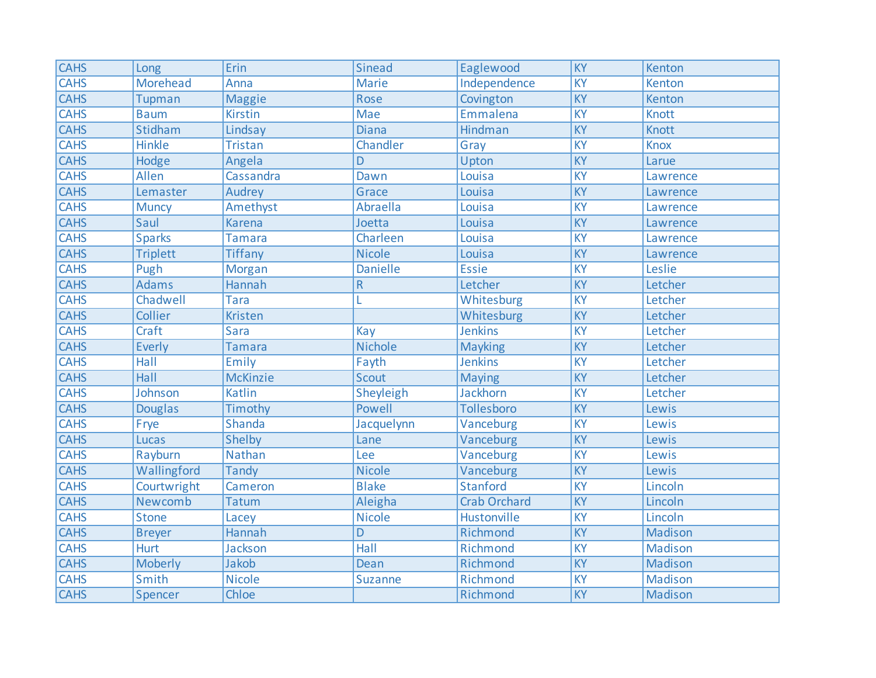| <b>CAHS</b> | Long            | Erin            | <b>Sinead</b>   | Eaglewood           | $\overline{KY}$ | Kenton         |
|-------------|-----------------|-----------------|-----------------|---------------------|-----------------|----------------|
| <b>CAHS</b> | <b>Morehead</b> | Anna            | <b>Marie</b>    | Independence        | KY              | Kenton         |
| <b>CAHS</b> | Tupman          | <b>Maggie</b>   | Rose            | Covington           | <b>KY</b>       | Kenton         |
| <b>CAHS</b> | <b>Baum</b>     | <b>Kirstin</b>  | <b>Mae</b>      | Emmalena            | <b>KY</b>       | <b>Knott</b>   |
| <b>CAHS</b> | Stidham         | Lindsay         | <b>Diana</b>    | Hindman             | KY              | Knott          |
| <b>CAHS</b> | Hinkle          | <b>Tristan</b>  | Chandler        | Gray                | KY              | <b>Knox</b>    |
| <b>CAHS</b> | Hodge           | Angela          | D               | Upton               | $\overline{KY}$ | Larue          |
| <b>CAHS</b> | Allen           | Cassandra       | Dawn            | Louisa              | KY              | Lawrence       |
| <b>CAHS</b> | Lemaster        | <b>Audrey</b>   | Grace           | Louisa              | KY              | Lawrence       |
| <b>CAHS</b> | <b>Muncy</b>    | Amethyst        | Abraella        | Louisa              | KY              | Lawrence       |
| <b>CAHS</b> | Saul            | <b>Karena</b>   | Joetta          | Louisa              | KY              | Lawrence       |
| <b>CAHS</b> | <b>Sparks</b>   | <b>Tamara</b>   | Charleen        | Louisa              | <b>KY</b>       | Lawrence       |
| <b>CAHS</b> | <b>Triplett</b> | <b>Tiffany</b>  | <b>Nicole</b>   | Louisa              | $\overline{KY}$ | Lawrence       |
| <b>CAHS</b> | Pugh            | <b>Morgan</b>   | <b>Danielle</b> | <b>Essie</b>        | <b>KY</b>       | Leslie         |
| <b>CAHS</b> | <b>Adams</b>    | Hannah          | R               | Letcher             | $\overline{KY}$ | Letcher        |
| <b>CAHS</b> | Chadwell        | <b>Tara</b>     |                 | Whitesburg          | $\overline{KY}$ | Letcher        |
| <b>CAHS</b> | Collier         | Kristen         |                 | Whitesburg          | KY              | Letcher        |
| <b>CAHS</b> | Craft           | <b>Sara</b>     | Kay             | <b>Jenkins</b>      | KY              | Letcher        |
| <b>CAHS</b> | Everly          | <b>Tamara</b>   | <b>Nichole</b>  | <b>Mayking</b>      | KY              | Letcher        |
| <b>CAHS</b> | Hall            | Emily           | Fayth           | <b>Jenkins</b>      | KY              | Letcher        |
| <b>CAHS</b> | <b>Hall</b>     | <b>McKinzie</b> | Scout           | <b>Maying</b>       | KY              | Letcher        |
| <b>CAHS</b> | Johnson         | <b>Katlin</b>   | Sheyleigh       | Jackhorn            | KY              | Letcher        |
| <b>CAHS</b> | <b>Douglas</b>  | Timothy         | Powell          | <b>Tollesboro</b>   | KY              | Lewis          |
| <b>CAHS</b> | Frye            | <b>Shanda</b>   | Jacquelynn      | Vanceburg           | KY              | Lewis          |
| <b>CAHS</b> | Lucas           | Shelby          | Lane            | Vanceburg           | $\overline{KY}$ | Lewis          |
| <b>CAHS</b> | Rayburn         | Nathan          | Lee             | Vanceburg           | <b>KY</b>       | Lewis          |
| <b>CAHS</b> | Wallingford     | <b>Tandy</b>    | <b>Nicole</b>   | Vanceburg           | $\overline{KY}$ | Lewis          |
| <b>CAHS</b> | Courtwright     | Cameron         | <b>Blake</b>    | <b>Stanford</b>     | $\overline{KY}$ | Lincoln        |
| <b>CAHS</b> | Newcomb         | <b>Tatum</b>    | Aleigha         | <b>Crab Orchard</b> | $\overline{KY}$ | Lincoln        |
| <b>CAHS</b> | <b>Stone</b>    | Lacey           | <b>Nicole</b>   | Hustonville         | $\overline{KY}$ | Lincoln        |
| <b>CAHS</b> | <b>Breyer</b>   | Hannah          | D               | Richmond            | KY              | Madison        |
| <b>CAHS</b> | Hurt            | <b>Jackson</b>  | Hall            | Richmond            | KY              | Madison        |
| <b>CAHS</b> | Moberly         | <b>Jakob</b>    | Dean            | Richmond            | KY              | Madison        |
| <b>CAHS</b> | Smith           | <b>Nicole</b>   | <b>Suzanne</b>  | Richmond            | KY              | <b>Madison</b> |
| <b>CAHS</b> | Spencer         | Chloe           |                 | Richmond            | KY              | Madison        |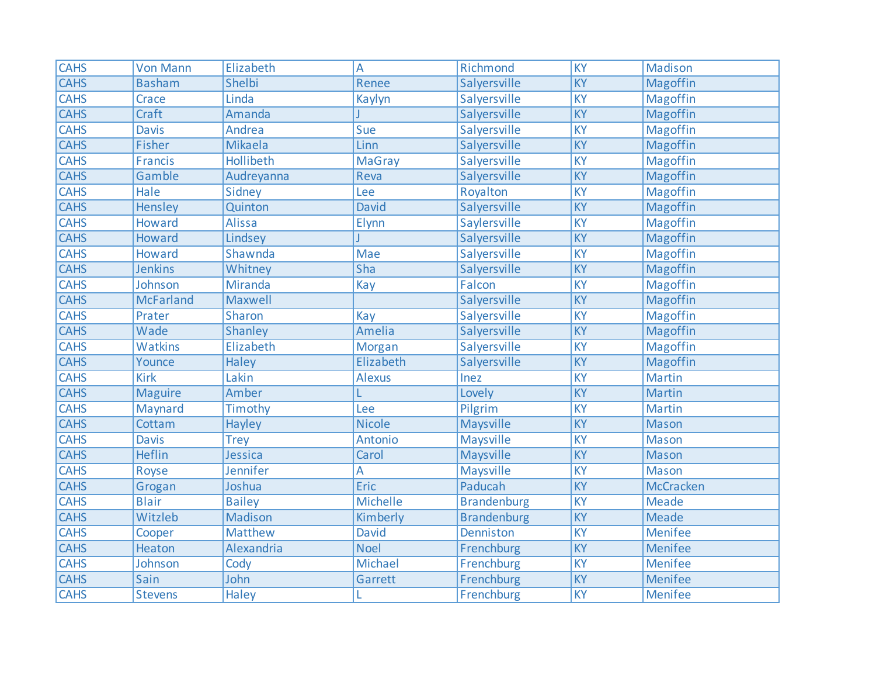| <b>CAHS</b> | <b>Von Mann</b>  | Elizabeth        | A               | Richmond           | KY              | <b>Madison</b>  |
|-------------|------------------|------------------|-----------------|--------------------|-----------------|-----------------|
| <b>CAHS</b> | <b>Basham</b>    | Shelbi           | Renee           | Salyersville       | KY              | Magoffin        |
| <b>CAHS</b> | Crace            | Linda            | Kaylyn          | Salyersville       | KY              | Magoffin        |
| <b>CAHS</b> | Craft            | Amanda           |                 | Salyersville       | $\overline{KY}$ | Magoffin        |
| <b>CAHS</b> | <b>Davis</b>     | Andrea           | Sue             | Salyersville       | KY              | Magoffin        |
| <b>CAHS</b> | Fisher           | Mikaela          | Linn            | Salyersville       | KY              | Magoffin        |
| <b>CAHS</b> | <b>Francis</b>   | <b>Hollibeth</b> | <b>MaGray</b>   | Salyersville       | $\overline{KY}$ | <b>Magoffin</b> |
| <b>CAHS</b> | Gamble           | Audreyanna       | Reva            | Salyersville       | KY              | Magoffin        |
| <b>CAHS</b> | Hale             | Sidney           | Lee             | Royalton           | <b>KY</b>       | <b>Magoffin</b> |
| <b>CAHS</b> | Hensley          | Quinton          | <b>David</b>    | Salyersville       | $\overline{KY}$ | <b>Magoffin</b> |
| <b>CAHS</b> | <b>Howard</b>    | Alissa           | Elynn           | Saylersville       | KY              | Magoffin        |
| <b>CAHS</b> | Howard           | Lindsey          |                 | Salyersville       | KY              | Magoffin        |
| <b>CAHS</b> | Howard           | Shawnda          | Mae             | Salyersville       | KY              | Magoffin        |
| <b>CAHS</b> | <b>Jenkins</b>   | Whitney          | Sha             | Salyersville       | KY              | Magoffin        |
| <b>CAHS</b> | Johnson          | Miranda          | Kay             | Falcon             | KY              | Magoffin        |
| <b>CAHS</b> | <b>McFarland</b> | Maxwell          |                 | Salyersville       | <b>KY</b>       | <b>Magoffin</b> |
| <b>CAHS</b> | Prater           | Sharon           | Kay             | Salyersville       | KY              | Magoffin        |
| <b>CAHS</b> | Wade             | <b>Shanley</b>   | Amelia          | Salyersville       | KY              | Magoffin        |
| <b>CAHS</b> | Watkins          | Elizabeth        | <b>Morgan</b>   | Salyersville       | KY              | Magoffin        |
| <b>CAHS</b> | Younce           | Haley            | Elizabeth       | Salyersville       | KY              | Magoffin        |
| <b>CAHS</b> | <b>Kirk</b>      | Lakin            | <b>Alexus</b>   | Inez               | <b>KY</b>       | Martin          |
| <b>CAHS</b> | <b>Maguire</b>   | Amber            |                 | Lovely             | $\overline{KY}$ | Martin          |
| <b>CAHS</b> | Maynard          | Timothy          | Lee             | Pilgrim            | <b>KY</b>       | <b>Martin</b>   |
| <b>CAHS</b> | Cottam           | Hayley           | <b>Nicole</b>   | Maysville          | KY              | Mason           |
| <b>CAHS</b> | <b>Davis</b>     | <b>Trey</b>      | Antonio         | Maysville          | $\overline{KY}$ | Mason           |
| <b>CAHS</b> | <b>Heflin</b>    | Jessica          | Carol           | Maysville          | KY              | Mason           |
| <b>CAHS</b> | Royse            | Jennifer         | A               | Maysville          | <b>KY</b>       | <b>Mason</b>    |
| <b>CAHS</b> | Grogan           | Joshua           | Eric            | Paducah            | $\overline{KY}$ | McCracken       |
| <b>CAHS</b> | <b>Blair</b>     | <b>Bailey</b>    | <b>Michelle</b> | <b>Brandenburg</b> | KY              | <b>Meade</b>    |
| <b>CAHS</b> | Witzleb          | Madison          | Kimberly        | <b>Brandenburg</b> | KY              | <b>Meade</b>    |
| <b>CAHS</b> | Cooper           | Matthew          | <b>David</b>    | Denniston          | KY              | <b>Menifee</b>  |
| <b>CAHS</b> | Heaton           | Alexandria       | <b>Noel</b>     | Frenchburg         | KY              | Menifee         |
| <b>CAHS</b> | Johnson          | Cody             | <b>Michael</b>  | Frenchburg         | KY              | <b>Menifee</b>  |
| <b>CAHS</b> | Sain             | John             | Garrett         | Frenchburg         | KY              | Menifee         |
| <b>CAHS</b> | <b>Stevens</b>   | <b>Haley</b>     | L               | Frenchburg         | KY              | Menifee         |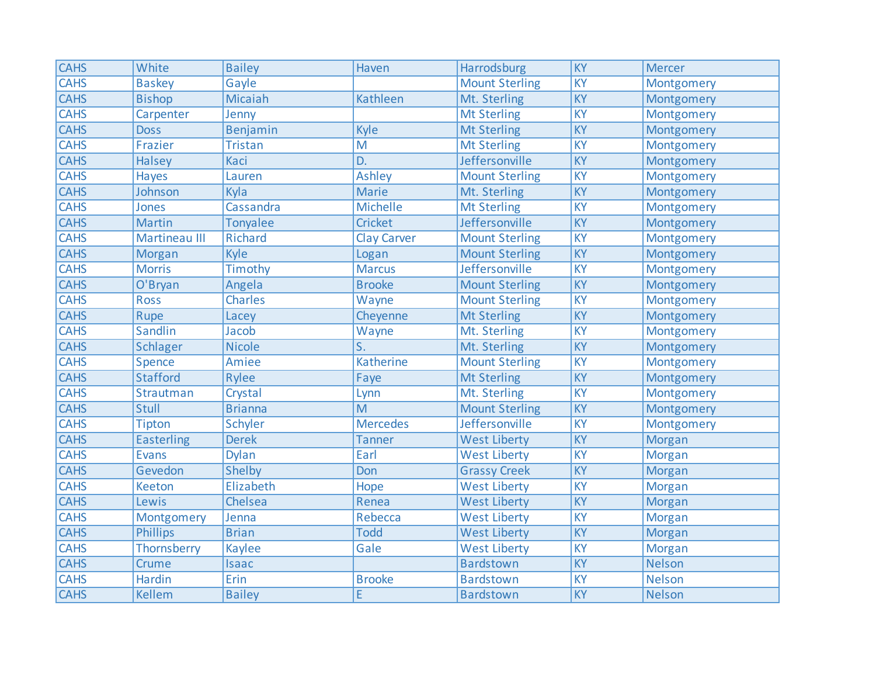| <b>CAHS</b> | White                | <b>Bailey</b>  | Haven              | Harrodsburg           | <b>KY</b>       | <b>Mercer</b> |
|-------------|----------------------|----------------|--------------------|-----------------------|-----------------|---------------|
| <b>CAHS</b> | <b>Baskey</b>        | Gayle          |                    | <b>Mount Sterling</b> | <b>KY</b>       | Montgomery    |
| <b>CAHS</b> | <b>Bishop</b>        | Micaiah        | <b>Kathleen</b>    | Mt. Sterling          | KY              | Montgomery    |
| <b>CAHS</b> | Carpenter            | Jenny          |                    | <b>Mt Sterling</b>    | <b>KY</b>       | Montgomery    |
| <b>CAHS</b> | <b>Doss</b>          | Benjamin       | Kyle               | <b>Mt Sterling</b>    | KY              | Montgomery    |
| <b>CAHS</b> | Frazier              | <b>Tristan</b> | M                  | <b>Mt Sterling</b>    | KY              | Montgomery    |
| <b>CAHS</b> | <b>Halsey</b>        | Kaci           | D.                 | Jeffersonville        | KY              | Montgomery    |
| <b>CAHS</b> | Hayes                | Lauren         | <b>Ashley</b>      | <b>Mount Sterling</b> | KY              | Montgomery    |
| <b>CAHS</b> | Johnson              | Kyla           | <b>Marie</b>       | Mt. Sterling          | KY              | Montgomery    |
| <b>CAHS</b> | Jones                | Cassandra      | <b>Michelle</b>    | <b>Mt Sterling</b>    | <b>KY</b>       | Montgomery    |
| <b>CAHS</b> | <b>Martin</b>        | Tonyalee       | <b>Cricket</b>     | Jeffersonville        | KY              | Montgomery    |
| <b>CAHS</b> | <b>Martineau III</b> | <b>Richard</b> | <b>Clay Carver</b> | <b>Mount Sterling</b> | <b>KY</b>       | Montgomery    |
| <b>CAHS</b> | Morgan               | Kyle           | Logan              | <b>Mount Sterling</b> | KY              | Montgomery    |
| <b>CAHS</b> | <b>Morris</b>        | Timothy        | <b>Marcus</b>      | Jeffersonville        | KY              | Montgomery    |
| <b>CAHS</b> | O'Bryan              | Angela         | <b>Brooke</b>      | <b>Mount Sterling</b> | KY              | Montgomery    |
| <b>CAHS</b> | <b>Ross</b>          | <b>Charles</b> | Wayne              | <b>Mount Sterling</b> | <b>KY</b>       | Montgomery    |
| <b>CAHS</b> | Rupe                 | Lacey          | Cheyenne           | <b>Mt Sterling</b>    | KY              | Montgomery    |
| <b>CAHS</b> | <b>Sandlin</b>       | Jacob          | Wayne              | Mt. Sterling          | KY              | Montgomery    |
| <b>CAHS</b> | Schlager             | <b>Nicole</b>  | S.                 | Mt. Sterling          | KY              | Montgomery    |
| <b>CAHS</b> | Spence               | Amiee          | Katherine          | <b>Mount Sterling</b> | KY              | Montgomery    |
| <b>CAHS</b> | <b>Stafford</b>      | Rylee          | Faye               | <b>Mt Sterling</b>    | <b>KY</b>       | Montgomery    |
| <b>CAHS</b> | Strautman            | Crystal        | Lynn               | Mt. Sterling          | KY              | Montgomery    |
| <b>CAHS</b> | <b>Stull</b>         | <b>Brianna</b> | M                  | <b>Mount Sterling</b> | KY              | Montgomery    |
| <b>CAHS</b> | Tipton               | <b>Schyler</b> | <b>Mercedes</b>    | Jeffersonville        | <b>KY</b>       | Montgomery    |
| <b>CAHS</b> | <b>Easterling</b>    | <b>Derek</b>   | <b>Tanner</b>      | <b>West Liberty</b>   | KY              | Morgan        |
| <b>CAHS</b> | <b>Evans</b>         | <b>Dylan</b>   | Earl               | <b>West Liberty</b>   | KY              | Morgan        |
| <b>CAHS</b> | Gevedon              | Shelby         | Don                | <b>Grassy Creek</b>   | KY              | <b>Morgan</b> |
| <b>CAHS</b> | <b>Keeton</b>        | Elizabeth      | Hope               | <b>West Liberty</b>   | $\overline{KY}$ | Morgan        |
| <b>CAHS</b> | Lewis                | Chelsea        | Renea              | <b>West Liberty</b>   | KY              | Morgan        |
| <b>CAHS</b> | Montgomery           | Jenna          | Rebecca            | <b>West Liberty</b>   | <b>KY</b>       | <b>Morgan</b> |
| <b>CAHS</b> | <b>Phillips</b>      | <b>Brian</b>   | <b>Todd</b>        | <b>West Liberty</b>   | KY              | Morgan        |
| <b>CAHS</b> | Thornsberry          | <b>Kaylee</b>  | Gale               | <b>West Liberty</b>   | KY              | Morgan        |
| <b>CAHS</b> | Crume                | Isaac          |                    | <b>Bardstown</b>      | KY              | <b>Nelson</b> |
| <b>CAHS</b> | <b>Hardin</b>        | Erin           | <b>Brooke</b>      | <b>Bardstown</b>      | KY              | <b>Nelson</b> |
| <b>CAHS</b> | <b>Kellem</b>        | <b>Bailey</b>  | E                  | <b>Bardstown</b>      | <b>KY</b>       | <b>Nelson</b> |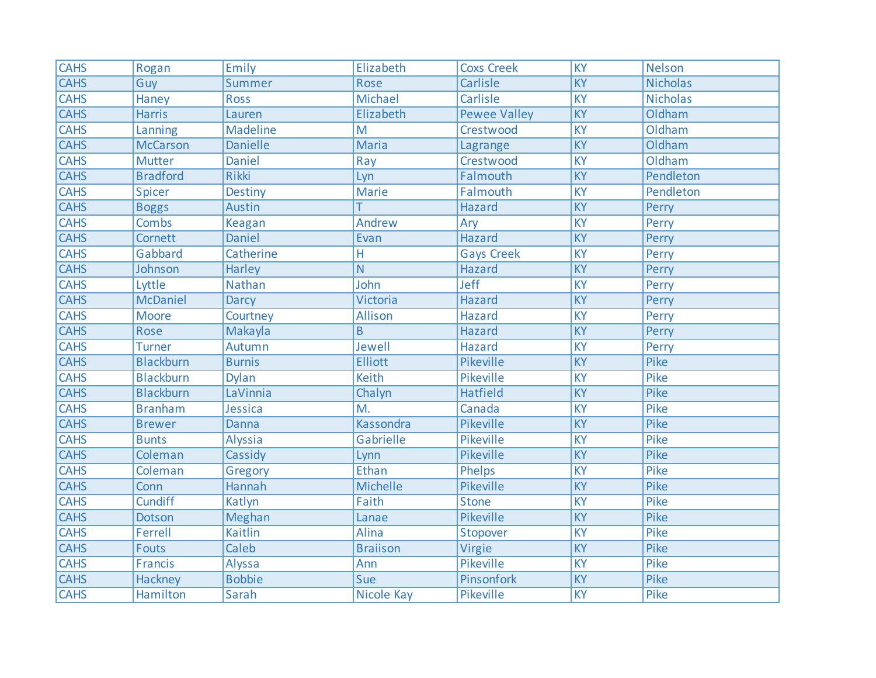| <b>CAHS</b> | Rogan            | Emily           | Elizabeth        | <b>Coxs Creek</b>   | $\overline{KY}$ | <b>Nelson</b>   |
|-------------|------------------|-----------------|------------------|---------------------|-----------------|-----------------|
| <b>CAHS</b> | Guy              | Summer          | Rose             | Carlisle            | $\overline{KY}$ | <b>Nicholas</b> |
| <b>CAHS</b> | Haney            | <b>Ross</b>     | Michael          | Carlisle            | <b>KY</b>       | <b>Nicholas</b> |
| <b>CAHS</b> | <b>Harris</b>    | Lauren          | Elizabeth        | <b>Pewee Valley</b> | <b>KY</b>       | Oldham          |
| <b>CAHS</b> | Lanning          | Madeline        | M                | Crestwood           | <b>KY</b>       | Oldham          |
| <b>CAHS</b> | <b>McCarson</b>  | <b>Danielle</b> | <b>Maria</b>     | Lagrange            | $\overline{KY}$ | Oldham          |
| <b>CAHS</b> | <b>Mutter</b>    | <b>Daniel</b>   | Ray              | Crestwood           | $\overline{KY}$ | Oldham          |
| <b>CAHS</b> | <b>Bradford</b>  | <b>Rikki</b>    | Lyn              | Falmouth            | KY              | Pendleton       |
| <b>CAHS</b> | Spicer           | <b>Destiny</b>  | <b>Marie</b>     | Falmouth            | <b>KY</b>       | Pendleton       |
| <b>CAHS</b> | <b>Boggs</b>     | Austin          |                  | <b>Hazard</b>       | <b>KY</b>       | Perry           |
| <b>CAHS</b> | <b>Combs</b>     | <b>Keagan</b>   | Andrew           | Ary                 | <b>KY</b>       | Perry           |
| <b>CAHS</b> | Cornett          | <b>Daniel</b>   | Evan             | <b>Hazard</b>       | <b>KY</b>       | Perry           |
| <b>CAHS</b> | Gabbard          | Catherine       | H                | <b>Gays Creek</b>   | $\overline{KY}$ | Perry           |
| <b>CAHS</b> | Johnson          | <b>Harley</b>   | N                | <b>Hazard</b>       | $\overline{KY}$ | Perry           |
| <b>CAHS</b> | Lyttle           | <b>Nathan</b>   | John             | Jeff                | <b>KY</b>       | Perry           |
| <b>CAHS</b> | <b>McDaniel</b>  | <b>Darcy</b>    | <b>Victoria</b>  | <b>Hazard</b>       | $\overline{KY}$ | Perry           |
| <b>CAHS</b> | <b>Moore</b>     | Courtney        | Allison          | <b>Hazard</b>       | KY              | Perry           |
| <b>CAHS</b> | Rose             | Makayla         | B                | <b>Hazard</b>       | KY              | Perry           |
| <b>CAHS</b> | <b>Turner</b>    | Autumn          | Jewell           | <b>Hazard</b>       | KY              | Perry           |
| <b>CAHS</b> | <b>Blackburn</b> | <b>Burnis</b>   | <b>Elliott</b>   | Pikeville           | KY              | Pike            |
| CAHS        | <b>Blackburn</b> | <b>Dylan</b>    | <b>Keith</b>     | Pikeville           | <b>KY</b>       | Pike            |
| <b>CAHS</b> | <b>Blackburn</b> | LaVinnia        | Chalyn           | <b>Hatfield</b>     | $\overline{KY}$ | Pike            |
| <b>CAHS</b> | <b>Branham</b>   | Jessica         | M.               | Canada              | KY              | Pike            |
| <b>CAHS</b> | <b>Brewer</b>    | Danna           | <b>Kassondra</b> | Pikeville           | KY              | Pike            |
| <b>CAHS</b> | <b>Bunts</b>     | Alyssia         | Gabrielle        | <b>Pikeville</b>    | $\overline{KY}$ | Pike            |
| <b>CAHS</b> | Coleman          | Cassidy         | Lynn             | Pikeville           | KY              | Pike            |
| <b>CAHS</b> | Coleman          | Gregory         | Ethan            | Phelps              | <b>KY</b>       | Pike            |
| <b>CAHS</b> | Conn             | <b>Hannah</b>   | Michelle         | <b>Pikeville</b>    | $\overline{KY}$ | Pike            |
| <b>CAHS</b> | <b>Cundiff</b>   | Katlyn          | Faith            | <b>Stone</b>        | $\overline{KY}$ | Pike            |
| <b>CAHS</b> | Dotson           | Meghan          | Lanae            | Pikeville           | $\overline{KY}$ | Pike            |
| <b>CAHS</b> | Ferrell          | Kaitlin         | Alina            | Stopover            | KY              | Pike            |
| <b>CAHS</b> | <b>Fouts</b>     | Caleb           | <b>Braiison</b>  | Virgie              | KY              | Pike            |
| <b>CAHS</b> | Francis          | Alyssa          | Ann              | <b>Pikeville</b>    | KY              | Pike            |
| <b>CAHS</b> | <b>Hackney</b>   | <b>Bobbie</b>   | Sue              | Pinsonfork          | KY              | Pike            |
| <b>CAHS</b> | Hamilton         | Sarah           | Nicole Kay       | Pikeville           | KY              | Pike            |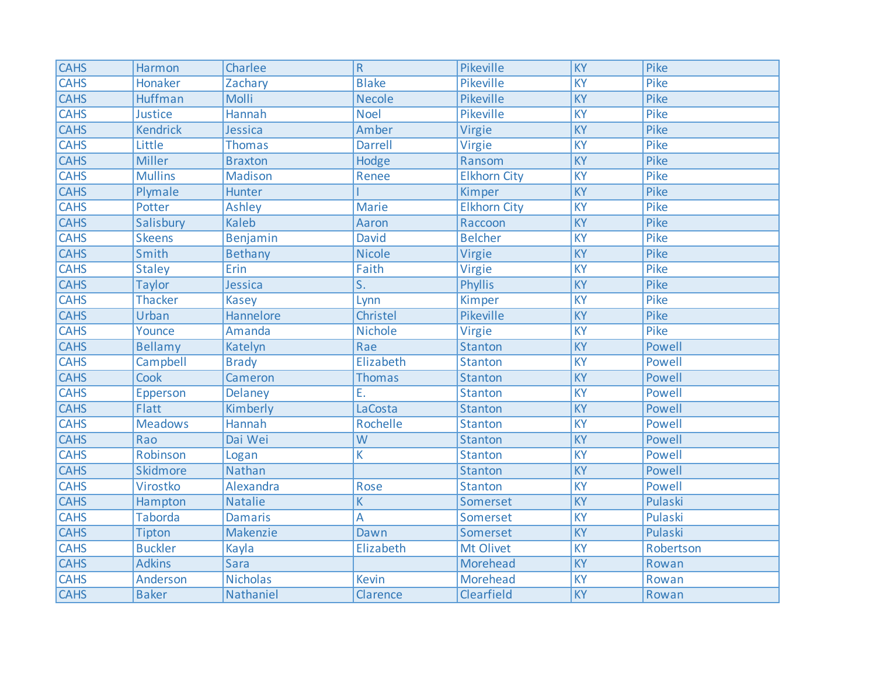| <b>CAHS</b> | Harmon          | Charlee         | $\overline{\mathsf{R}}$ | Pikeville           | $\overline{KY}$ | Pike      |
|-------------|-----------------|-----------------|-------------------------|---------------------|-----------------|-----------|
| <b>CAHS</b> | Honaker         | Zachary         | <b>Blake</b>            | Pikeville           | $\overline{KY}$ | Pike      |
| <b>CAHS</b> | Huffman         | <b>Molli</b>    | <b>Necole</b>           | Pikeville           | $\overline{KY}$ | Pike      |
| <b>CAHS</b> | Justice         | Hannah          | <b>Noel</b>             | Pikeville           | $\overline{KY}$ | Pike      |
| <b>CAHS</b> | <b>Kendrick</b> | Jessica         | Amber                   | Virgie              | KY              | Pike      |
| <b>CAHS</b> | Little          | <b>Thomas</b>   | <b>Darrell</b>          | Virgie              | $\overline{KY}$ | Pike      |
| <b>CAHS</b> | <b>Miller</b>   | <b>Braxton</b>  | Hodge                   | Ransom              | $\overline{KY}$ | Pike      |
| <b>CAHS</b> | <b>Mullins</b>  | Madison         | Renee                   | <b>Elkhorn City</b> | KY              | Pike      |
| <b>CAHS</b> | Plymale         | Hunter          |                         | Kimper              | KY              | Pike      |
| <b>CAHS</b> | Potter          | <b>Ashley</b>   | <b>Marie</b>            | <b>Elkhorn City</b> | $\overline{KY}$ | Pike      |
| <b>CAHS</b> | Salisbury       | <b>Kaleb</b>    | Aaron                   | Raccoon             | KY              | Pike      |
| <b>CAHS</b> | <b>Skeens</b>   | Benjamin        | <b>David</b>            | <b>Belcher</b>      | <b>KY</b>       | Pike      |
| <b>CAHS</b> | Smith           | Bethany         | <b>Nicole</b>           | Virgie              | $\overline{KY}$ | Pike      |
| <b>CAHS</b> | <b>Staley</b>   | Erin            | Faith                   | Virgie              | $\overline{KY}$ | Pike      |
| <b>CAHS</b> | <b>Taylor</b>   | Jessica         | $\overline{S}$ .        | <b>Phyllis</b>      | $\overline{KY}$ | Pike      |
| <b>CAHS</b> | Thacker         | <b>Kasey</b>    | Lynn                    | Kimper              | $\overline{KY}$ | Pike      |
| <b>CAHS</b> | Urban           | Hannelore       | Christel                | Pikeville           | $\overline{KY}$ | Pike      |
| <b>CAHS</b> | Younce          | Amanda          | <b>Nichole</b>          | Virgie              | <b>KY</b>       | Pike      |
| <b>CAHS</b> | Bellamy         | Katelyn         | Rae                     | Stanton             | KY              | Powell    |
| <b>CAHS</b> | Campbell        | <b>Brady</b>    | Elizabeth               | <b>Stanton</b>      | KY              | Powell    |
| <b>CAHS</b> | Cook            | Cameron         | <b>Thomas</b>           | <b>Stanton</b>      | KY              | Powell    |
| <b>CAHS</b> | Epperson        | Delaney         | Ε.                      | <b>Stanton</b>      | $\overline{KY}$ | Powell    |
| <b>CAHS</b> | <b>Flatt</b>    | Kimberly        | LaCosta                 | <b>Stanton</b>      | KY              | Powell    |
| <b>CAHS</b> | <b>Meadows</b>  | Hannah          | Rochelle                | <b>Stanton</b>      | KY              | Powell    |
| <b>CAHS</b> | Rao             | Dai Wei         | $\overline{W}$          | <b>Stanton</b>      | <b>KY</b>       | Powell    |
| <b>CAHS</b> | Robinson        | Logan           | K                       | <b>Stanton</b>      | <b>KY</b>       | Powell    |
| <b>CAHS</b> | Skidmore        | <b>Nathan</b>   |                         | <b>Stanton</b>      | KY              | Powell    |
| <b>CAHS</b> | Virostko        | Alexandra       | Rose                    | <b>Stanton</b>      | $\overline{KY}$ | Powell    |
| <b>CAHS</b> | Hampton         | <b>Natalie</b>  | K                       | Somerset            | $\overline{KY}$ | Pulaski   |
| <b>CAHS</b> | <b>Taborda</b>  | <b>Damaris</b>  | A                       | Somerset            | $\overline{KY}$ | Pulaski   |
| <b>CAHS</b> | <b>Tipton</b>   | Makenzie        | Dawn                    | Somerset            | KY              | Pulaski   |
| <b>CAHS</b> | <b>Buckler</b>  | Kayla           | Elizabeth               | Mt Olivet           | <b>KY</b>       | Robertson |
| <b>CAHS</b> | <b>Adkins</b>   | <b>Sara</b>     |                         | Morehead            | KY              | Rowan     |
| <b>CAHS</b> | Anderson        | <b>Nicholas</b> | <b>Kevin</b>            | Morehead            | KY              | Rowan     |
| <b>CAHS</b> | <b>Baker</b>    | Nathaniel       | Clarence                | Clearfield          | KY              | Rowan     |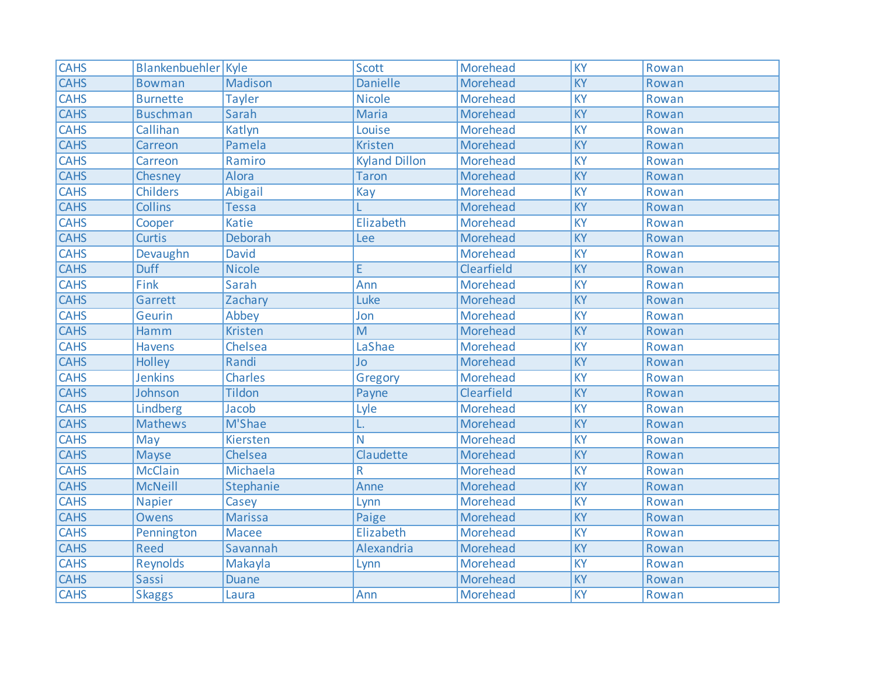| <b>CAHS</b> | Blankenbuehler Kyle |                | <b>Scott</b>         | Morehead        | $\overline{KY}$ | Rowan |
|-------------|---------------------|----------------|----------------------|-----------------|-----------------|-------|
| <b>CAHS</b> | <b>Bowman</b>       | Madison        | <b>Danielle</b>      | Morehead        | KY              | Rowan |
| <b>CAHS</b> | <b>Burnette</b>     | <b>Tayler</b>  | <b>Nicole</b>        | Morehead        | KY              | Rowan |
| <b>CAHS</b> | <b>Buschman</b>     | Sarah          | <b>Maria</b>         | Morehead        | <b>KY</b>       | Rowan |
| <b>CAHS</b> | Callihan            | Katlyn         | Louise               | Morehead        | KY              | Rowan |
| <b>CAHS</b> | Carreon             | Pamela         | <b>Kristen</b>       | Morehead        | KY              | Rowan |
| <b>CAHS</b> | Carreon             | Ramiro         | <b>Kyland Dillon</b> | Morehead        | <b>KY</b>       | Rowan |
| <b>CAHS</b> | Chesney             | Alora          | <b>Taron</b>         | Morehead        | KY              | Rowan |
| <b>CAHS</b> | <b>Childers</b>     | <b>Abigail</b> | Kay                  | <b>Morehead</b> | KY              | Rowan |
| <b>CAHS</b> | <b>Collins</b>      | <b>Tessa</b>   |                      | Morehead        | KY              | Rowan |
| <b>CAHS</b> | Cooper              | <b>Katie</b>   | Elizabeth            | Morehead        | KY              | Rowan |
| <b>CAHS</b> | <b>Curtis</b>       | Deborah        | Lee                  | Morehead        | <b>KY</b>       | Rowan |
| <b>CAHS</b> | Devaughn            | David          |                      | Morehead        | <b>KY</b>       | Rowan |
| <b>CAHS</b> | <b>Duff</b>         | <b>Nicole</b>  | E                    | Clearfield      | <b>KY</b>       | Rowan |
| <b>CAHS</b> | Fink                | Sarah          | Ann                  | Morehead        | <b>KY</b>       | Rowan |
| <b>CAHS</b> | Garrett             | Zachary        | Luke                 | Morehead        | $\overline{KY}$ | Rowan |
| <b>CAHS</b> | Geurin              | Abbey          | Jon                  | Morehead        | KY              | Rowan |
| <b>CAHS</b> | Hamm                | <b>Kristen</b> | M                    | Morehead        | KY              | Rowan |
| <b>CAHS</b> | <b>Havens</b>       | Chelsea        | LaShae               | Morehead        | KY              | Rowan |
| <b>CAHS</b> | Holley              | Randi          | Jo                   | Morehead        | KY              | Rowan |
| <b>CAHS</b> | <b>Jenkins</b>      | <b>Charles</b> | Gregory              | Morehead        | <b>KY</b>       | Rowan |
| <b>CAHS</b> | Johnson             | <b>Tildon</b>  | Payne                | Clearfield      | $\overline{KY}$ | Rowan |
| <b>CAHS</b> | Lindberg            | Jacob          | Lyle                 | <b>Morehead</b> | KY              | Rowan |
| <b>CAHS</b> | <b>Mathews</b>      | M'Shae         | L.                   | Morehead        | KY              | Rowan |
| <b>CAHS</b> | May                 | Kiersten       | N                    | Morehead        | <b>KY</b>       | Rowan |
| <b>CAHS</b> | <b>Mayse</b>        | Chelsea        | Claudette            | Morehead        | <b>KY</b>       | Rowan |
| <b>CAHS</b> | <b>McClain</b>      | Michaela       | R                    | Morehead        | <b>KY</b>       | Rowan |
| <b>CAHS</b> | <b>McNeill</b>      | Stephanie      | Anne                 | Morehead        | $\overline{KY}$ | Rowan |
| <b>CAHS</b> | <b>Napier</b>       | Casey          | Lynn                 | Morehead        | KY              | Rowan |
| <b>CAHS</b> | <b>Owens</b>        | <b>Marissa</b> | Paige                | Morehead        | KY              | Rowan |
| <b>CAHS</b> | Pennington          | <b>Macee</b>   | Elizabeth            | Morehead        | KY              | Rowan |
| <b>CAHS</b> | Reed                | Savannah       | Alexandria           | Morehead        | KY              | Rowan |
| <b>CAHS</b> | <b>Reynolds</b>     | Makayla        | Lynn                 | Morehead        | KY              | Rowan |
| <b>CAHS</b> | Sassi               | <b>Duane</b>   |                      | Morehead        | KY              | Rowan |
| <b>CAHS</b> | <b>Skaggs</b>       | Laura          | Ann                  | <b>Morehead</b> | KY              | Rowan |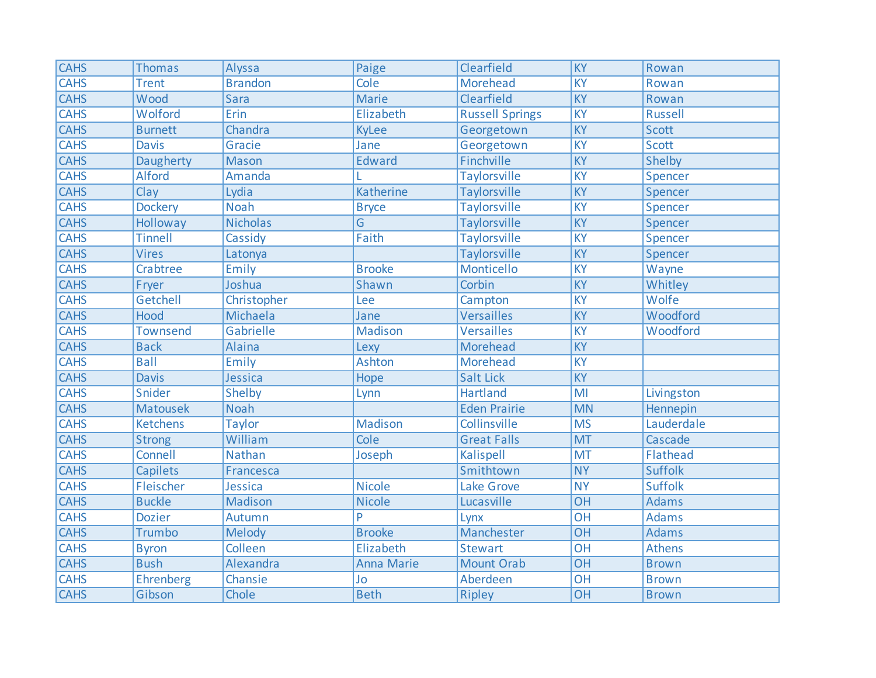| <b>CAHS</b> | <b>Thomas</b>   | Alyssa          | Paige             | Clearfield             | $\overline{KY}$ | Rowan          |
|-------------|-----------------|-----------------|-------------------|------------------------|-----------------|----------------|
| <b>CAHS</b> | <b>Trent</b>    | <b>Brandon</b>  | Cole              | <b>Morehead</b>        | <b>KY</b>       | Rowan          |
| <b>CAHS</b> | Wood            | Sara            | <b>Marie</b>      | Clearfield             | KY              | Rowan          |
| <b>CAHS</b> | Wolford         | Erin            | Elizabeth         | <b>Russell Springs</b> | $\overline{KY}$ | <b>Russell</b> |
| <b>CAHS</b> | <b>Burnett</b>  | Chandra         | <b>KyLee</b>      | Georgetown             | KY              | <b>Scott</b>   |
| <b>CAHS</b> | <b>Davis</b>    | Gracie          | Jane              | Georgetown             | <b>KY</b>       | Scott          |
| <b>CAHS</b> | Daugherty       | <b>Mason</b>    | <b>Edward</b>     | Finchville             | $\overline{KY}$ | <b>Shelby</b>  |
| <b>CAHS</b> | Alford          | Amanda          |                   | <b>Taylorsville</b>    | <b>KY</b>       | Spencer        |
| <b>CAHS</b> | Clay            | Lydia           | <b>Katherine</b>  | <b>Taylorsville</b>    | KY              | Spencer        |
| <b>CAHS</b> | <b>Dockery</b>  | <b>Noah</b>     | <b>Bryce</b>      | <b>Taylorsville</b>    | $\overline{KY}$ | Spencer        |
| <b>CAHS</b> | Holloway        | <b>Nicholas</b> | G                 | <b>Taylorsville</b>    | KY              | Spencer        |
| <b>CAHS</b> | <b>Tinnell</b>  | Cassidy         | Faith             | <b>Taylorsville</b>    | KY              | Spencer        |
| <b>CAHS</b> | <b>Vires</b>    | Latonya         |                   | <b>Taylorsville</b>    | $\overline{KY}$ | Spencer        |
| <b>CAHS</b> | Crabtree        | Emily           | <b>Brooke</b>     | Monticello             | <b>KY</b>       | Wayne          |
| <b>CAHS</b> | Fryer           | Joshua          | Shawn             | Corbin                 | KY              | Whitley        |
| <b>CAHS</b> | Getchell        | Christopher     | Lee               | Campton                | $\overline{KY}$ | Wolfe          |
| <b>CAHS</b> | Hood            | Michaela        | Jane              | <b>Versailles</b>      | KY              | Woodford       |
| <b>CAHS</b> | <b>Townsend</b> | Gabrielle       | <b>Madison</b>    | <b>Versailles</b>      | KY              | Woodford       |
| <b>CAHS</b> | <b>Back</b>     | Alaina          | Lexy              | Morehead               | KY              |                |
| <b>CAHS</b> | <b>Ball</b>     | Emily           | <b>Ashton</b>     | Morehead               | KY              |                |
| <b>CAHS</b> | <b>Davis</b>    | Jessica         | Hope              | <b>Salt Lick</b>       | KY              |                |
| <b>CAHS</b> | Snider          | Shelby          | Lynn              | <b>Hartland</b>        | MI              | Livingston     |
| <b>CAHS</b> | <b>Matousek</b> | <b>Noah</b>     |                   | <b>Eden Prairie</b>    | <b>MN</b>       | Hennepin       |
| <b>CAHS</b> | <b>Ketchens</b> | <b>Taylor</b>   | <b>Madison</b>    | Collinsville           | <b>MS</b>       | Lauderdale     |
| <b>CAHS</b> | <b>Strong</b>   | William         | Cole              | <b>Great Falls</b>     | <b>MT</b>       | Cascade        |
| <b>CAHS</b> | Connell         | Nathan          | Joseph            | <b>Kalispell</b>       | <b>MT</b>       | Flathead       |
| <b>CAHS</b> | Capilets        | Francesca       |                   | Smithtown              | <b>NY</b>       | <b>Suffolk</b> |
| <b>CAHS</b> | Fleischer       | Jessica         | <b>Nicole</b>     | Lake Grove             | <b>NY</b>       | <b>Suffolk</b> |
| <b>CAHS</b> | <b>Buckle</b>   | Madison         | <b>Nicole</b>     | Lucasville             | <b>OH</b>       | Adams          |
| <b>CAHS</b> | <b>Dozier</b>   | Autumn          | P                 | Lynx                   | OH              | <b>Adams</b>   |
| <b>CAHS</b> | Trumbo          | Melody          | <b>Brooke</b>     | Manchester             | $\overline{OH}$ | <b>Adams</b>   |
| <b>CAHS</b> | <b>Byron</b>    | Colleen         | Elizabeth         | <b>Stewart</b>         | <b>OH</b>       | <b>Athens</b>  |
| <b>CAHS</b> | <b>Bush</b>     | Alexandra       | <b>Anna Marie</b> | <b>Mount Orab</b>      | <b>OH</b>       | <b>Brown</b>   |
| <b>CAHS</b> | Ehrenberg       | Chansie         | Jo                | Aberdeen               | OH              | <b>Brown</b>   |
| <b>CAHS</b> | Gibson          | Chole           | <b>Beth</b>       | <b>Ripley</b>          | <b>OH</b>       | <b>Brown</b>   |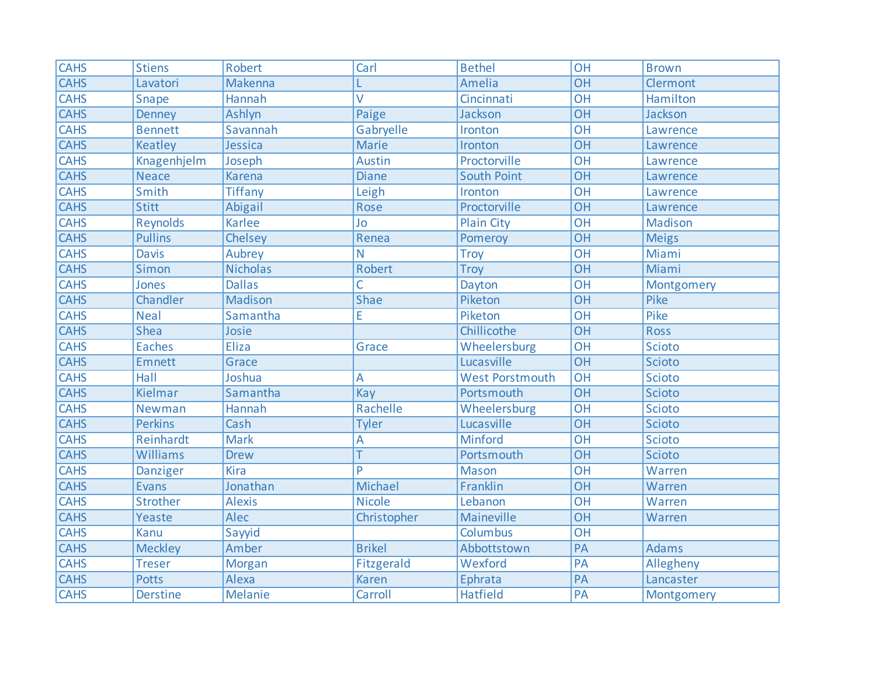| <b>CAHS</b> | <b>Stiens</b>   | <b>Robert</b>   | Carl           | <b>Bethel</b>          | <b>OH</b>       | <b>Brown</b>   |
|-------------|-----------------|-----------------|----------------|------------------------|-----------------|----------------|
| <b>CAHS</b> | Lavatori        | Makenna         |                | Amelia                 | <b>OH</b>       | Clermont       |
| <b>CAHS</b> | Snape           | Hannah          | V              | Cincinnati             | $\overline{OH}$ | Hamilton       |
| <b>CAHS</b> | <b>Denney</b>   | Ashlyn          | Paige          | Jackson                | $\overline{OH}$ | Jackson        |
| <b>CAHS</b> | <b>Bennett</b>  | Savannah        | Gabryelle      | Ironton                | OH              | Lawrence       |
| <b>CAHS</b> | Keatley         | Jessica         | <b>Marie</b>   | Ironton                | OH              | Lawrence       |
| <b>CAHS</b> | Knagenhjelm     | Joseph          | <b>Austin</b>  | Proctorville           | OH              | Lawrence       |
| <b>CAHS</b> | <b>Neace</b>    | <b>Karena</b>   | <b>Diane</b>   | <b>South Point</b>     | <b>OH</b>       | Lawrence       |
| <b>CAHS</b> | Smith           | <b>Tiffany</b>  | Leigh          | Ironton                | <b>OH</b>       | Lawrence       |
| <b>CAHS</b> | <b>Stitt</b>    | Abigail         | Rose           | Proctorville           | $\overline{OH}$ | Lawrence       |
| <b>CAHS</b> | <b>Reynolds</b> | <b>Karlee</b>   | Jo             | <b>Plain City</b>      | <b>OH</b>       | <b>Madison</b> |
| <b>CAHS</b> | <b>Pullins</b>  | Chelsey         | Renea          | Pomeroy                | OH              | <b>Meigs</b>   |
| <b>CAHS</b> | <b>Davis</b>    | Aubrey          | N              | <b>Troy</b>            | $\overline{OH}$ | Miami          |
| <b>CAHS</b> | Simon           | <b>Nicholas</b> | <b>Robert</b>  | <b>Troy</b>            | <b>OH</b>       | Miami          |
| <b>CAHS</b> | Jones           | <b>Dallas</b>   | Ċ              | Dayton                 | <b>OH</b>       | Montgomery     |
| <b>CAHS</b> | Chandler        | <b>Madison</b>  | <b>Shae</b>    | Piketon                | $\overline{OH}$ | Pike           |
| <b>CAHS</b> | <b>Neal</b>     | Samantha        | E              | Piketon                | $\overline{OH}$ | Pike           |
| <b>CAHS</b> | <b>Shea</b>     | Josie           |                | Chillicothe            | $\overline{OH}$ | <b>Ross</b>    |
| <b>CAHS</b> | <b>Eaches</b>   | <b>Eliza</b>    | Grace          | Wheelersburg           | OH              | Scioto         |
| <b>CAHS</b> | Emnett          | Grace           |                | Lucasville             | OH              | Scioto         |
| <b>CAHS</b> | Hall            | Joshua          | A              | <b>West Porstmouth</b> | OH              | Scioto         |
| <b>CAHS</b> | Kielmar         | Samantha        | Kay            | Portsmouth             | $\overline{OH}$ | Scioto         |
| <b>CAHS</b> | Newman          | Hannah          | Rachelle       | Wheelersburg           | <b>OH</b>       | <b>Scioto</b>  |
| <b>CAHS</b> | <b>Perkins</b>  | Cash            | <b>Tyler</b>   | Lucasville             | OH              | Scioto         |
| <b>CAHS</b> | Reinhardt       | <b>Mark</b>     | A              | <b>Minford</b>         | $\overline{OH}$ | Scioto         |
| <b>CAHS</b> | Williams        | <b>Drew</b>     |                | Portsmouth             | <b>OH</b>       | Scioto         |
| <b>CAHS</b> | Danziger        | <b>Kira</b>     | Þ              | <b>Mason</b>           | <b>OH</b>       | Warren         |
| <b>CAHS</b> | Evans           | Jonathan        | <b>Michael</b> | Franklin               | $\overline{OH}$ | Warren         |
| <b>CAHS</b> | Strother        | <b>Alexis</b>   | <b>Nicole</b>  | Lebanon                | $\overline{OH}$ | Warren         |
| <b>CAHS</b> | Yeaste          | Alec            | Christopher    | Maineville             | <b>OH</b>       | Warren         |
| <b>CAHS</b> | <b>Kanu</b>     | Sayyid          |                | Columbus               | OH              |                |
| <b>CAHS</b> | <b>Meckley</b>  | Amber           | <b>Brikel</b>  | Abbottstown            | PA              | <b>Adams</b>   |
| <b>CAHS</b> | <b>Treser</b>   | Morgan          | Fitzgerald     | Wexford                | PA              | Allegheny      |
| <b>CAHS</b> | <b>Potts</b>    | Alexa           | <b>Karen</b>   | Ephrata                | PA              | Lancaster      |
| <b>CAHS</b> | <b>Derstine</b> | <b>Melanie</b>  | Carroll        | <b>Hatfield</b>        | PA              | Montgomery     |